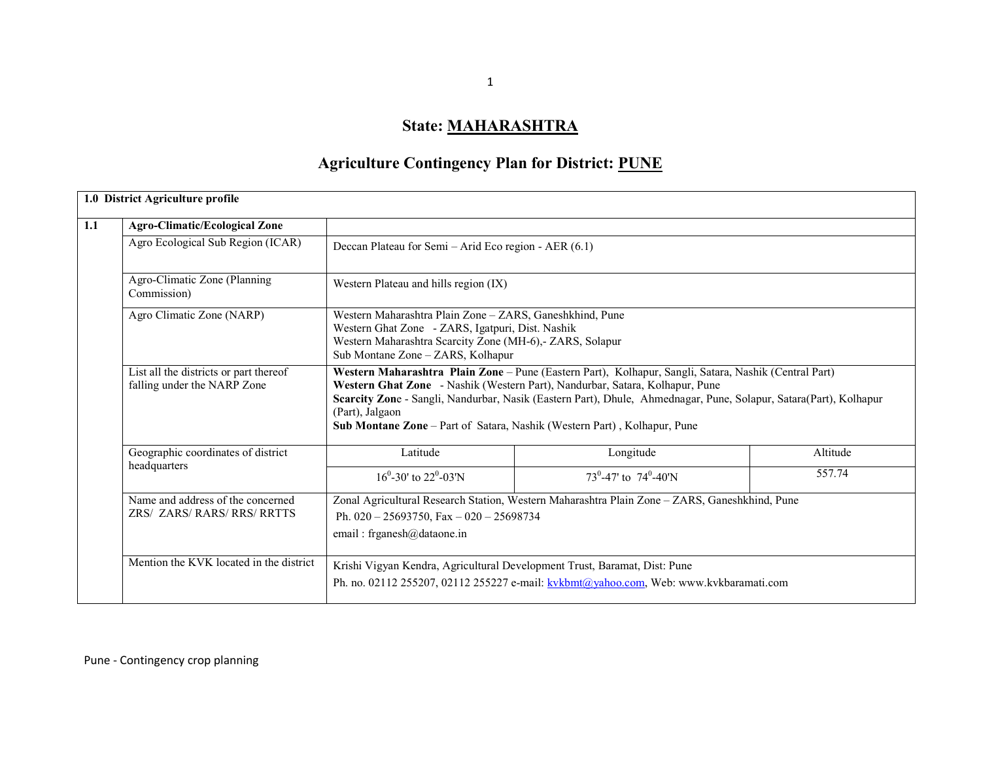## State: <u>MAHARASHTRA</u>

# Agriculture Contingency Plan for District: PUNE

| <b>Agro-Climatic/Ecological Zone</b>                                  |                                                                                                                                                                                                                                                                                                                                                                                                           |                                                                                                                                                                          |          |  |  |  |  |  |
|-----------------------------------------------------------------------|-----------------------------------------------------------------------------------------------------------------------------------------------------------------------------------------------------------------------------------------------------------------------------------------------------------------------------------------------------------------------------------------------------------|--------------------------------------------------------------------------------------------------------------------------------------------------------------------------|----------|--|--|--|--|--|
| Agro Ecological Sub Region (ICAR)                                     | Deccan Plateau for Semi - Arid Eco region - AER (6.1)                                                                                                                                                                                                                                                                                                                                                     |                                                                                                                                                                          |          |  |  |  |  |  |
| Agro-Climatic Zone (Planning<br>Commission)                           | Western Plateau and hills region (IX)                                                                                                                                                                                                                                                                                                                                                                     |                                                                                                                                                                          |          |  |  |  |  |  |
| Agro Climatic Zone (NARP)                                             | Sub Montane Zone – ZARS, Kolhapur                                                                                                                                                                                                                                                                                                                                                                         | Western Maharashtra Plain Zone - ZARS, Ganeshkhind, Pune<br>Western Ghat Zone - ZARS, Igatpuri, Dist. Nashik<br>Western Maharashtra Scarcity Zone (MH-6),- ZARS, Solapur |          |  |  |  |  |  |
| List all the districts or part thereof<br>falling under the NARP Zone | Western Maharashtra Plain Zone – Pune (Eastern Part), Kolhapur, Sangli, Satara, Nashik (Central Part)<br>Western Ghat Zone - Nashik (Western Part), Nandurbar, Satara, Kolhapur, Pune<br>Scarcity Zone - Sangli, Nandurbar, Nasik (Eastern Part), Dhule, Ahmednagar, Pune, Solapur, Satara(Part), Kolhapur<br>(Part), Jalgaon<br>Sub Montane Zone - Part of Satara, Nashik (Western Part), Kolhapur, Pune |                                                                                                                                                                          |          |  |  |  |  |  |
|                                                                       |                                                                                                                                                                                                                                                                                                                                                                                                           |                                                                                                                                                                          |          |  |  |  |  |  |
| Geographic coordinates of district                                    | Latitude                                                                                                                                                                                                                                                                                                                                                                                                  | Longitude                                                                                                                                                                | Altitude |  |  |  |  |  |
| headquarters                                                          | $16^0 - 30'$ to $22^0 - 03'$ N                                                                                                                                                                                                                                                                                                                                                                            | 73 <sup>0</sup> -47' to 74 <sup>0</sup> -40'N                                                                                                                            | 557.74   |  |  |  |  |  |
| Name and address of the concerned<br>ZRS/ ZARS/ RARS/ RRS/ RRTTS      | Ph. $020 - 25693750$ , Fax $- 020 - 25698734$<br>email: frganesh@dataone.in                                                                                                                                                                                                                                                                                                                               | Zonal Agricultural Research Station, Western Maharashtra Plain Zone - ZARS, Ganeshkhind, Pune                                                                            |          |  |  |  |  |  |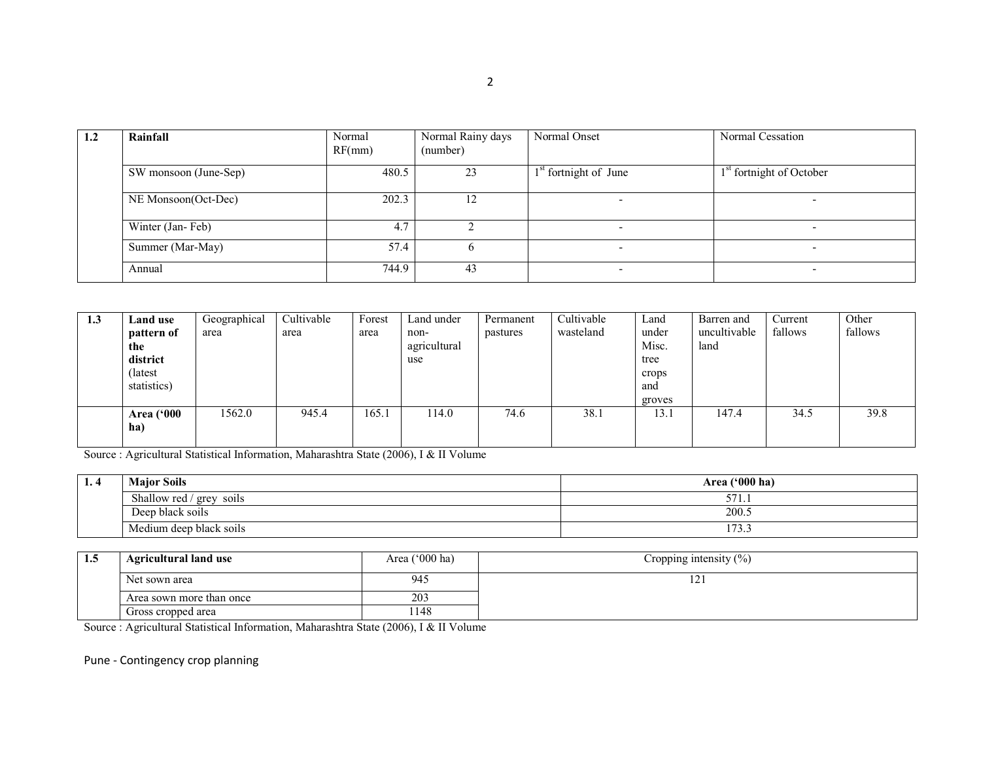| 1.2 | Rainfall              | Normal<br>RF(mm) | Normal Rainy days<br>(number) | Normal Onset             | Normal Cessation                     |
|-----|-----------------------|------------------|-------------------------------|--------------------------|--------------------------------------|
|     | SW monsoon (June-Sep) | 480.5            | 23                            | $1st$ fortnight of June  | 1 <sup>st</sup> fortnight of October |
|     | NE Monsoon(Oct-Dec)   | 202.3            | 12                            |                          |                                      |
|     | Winter (Jan-Feb)      | 4.7              |                               | $\overline{\phantom{0}}$ | $\overline{\phantom{0}}$             |
|     | Summer (Mar-May)      | 57.4             |                               | $\overline{\phantom{0}}$ | $\overline{\phantom{0}}$             |
|     | Annual                | 744.9            | 43                            | $\overline{\phantom{0}}$ | $\overline{\phantom{0}}$             |

| 1.3 | Land use          | Geographical | Cultivable | Forest | Land under   | Permanent | Cultivable | Land   | Barren and   | Current | Other   |
|-----|-------------------|--------------|------------|--------|--------------|-----------|------------|--------|--------------|---------|---------|
|     | pattern of        | area         | area       | area   | non-         | pastures  | wasteland  | under  | uncultivable | fallows | fallows |
|     | the               |              |            |        | agricultural |           |            | Misc.  | land         |         |         |
|     | district          |              |            |        | use          |           |            | tree   |              |         |         |
|     | (latest           |              |            |        |              |           |            | crops  |              |         |         |
|     | statistics)       |              |            |        |              |           |            | and    |              |         |         |
|     |                   |              |            |        |              |           |            | groves |              |         |         |
|     | <b>Area</b> ('000 | 1562.0       | 945.4      | 165.1  | 114.0        | 74.6      | 38.1       | 13.1   | 147.4        | 34.5    | 39.8    |
|     | ha)               |              |            |        |              |           |            |        |              |         |         |
|     |                   |              |            |        |              |           |            |        |              |         |         |

Source : Agricultural Statistical Information, Maharashtra State (2006), I & II Volume

| 1.4 | <b>Major Soils</b>                        | Area ('000 ha) |
|-----|-------------------------------------------|----------------|
|     | Shallow red /<br>$\frac{1}{2}$ grey soils | --<br>3/1.     |
|     | Deep black soils                          | 200.5          |
|     | Medium deep black soils                   | 1.73<br>11J    |

| 1.5 | <b>Agricultural land use</b>                                                           | Area $('000 ha)$ | Cropping intensity $(\% )$ |
|-----|----------------------------------------------------------------------------------------|------------------|----------------------------|
|     | Net sown area                                                                          | 945              |                            |
|     | 203<br>Area sown more than once                                                        |                  |                            |
|     | Gross cropped area                                                                     | l 148            |                            |
|     | Source : Agricultural Statistical Information, Maharashtra State (2006), I & II Volume |                  |                            |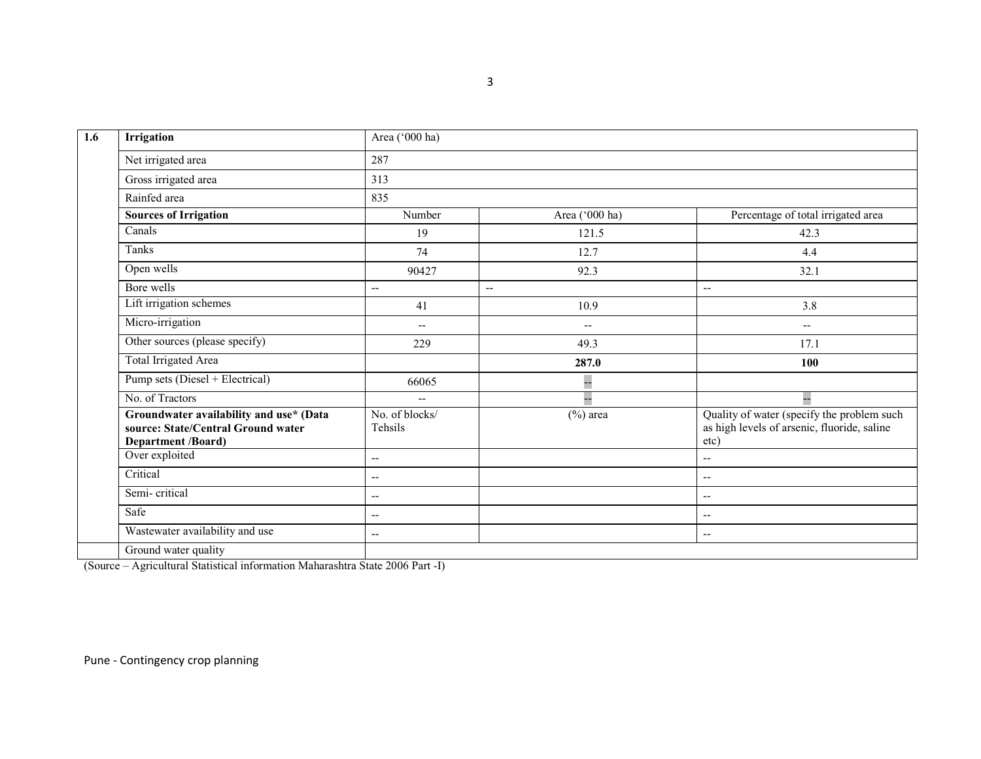| 1.6 | Irrigation                                                                                          | Area ('000 ha)                                      |                                                     |                                                                                                   |  |  |  |  |  |
|-----|-----------------------------------------------------------------------------------------------------|-----------------------------------------------------|-----------------------------------------------------|---------------------------------------------------------------------------------------------------|--|--|--|--|--|
|     | Net irrigated area                                                                                  | 287                                                 |                                                     |                                                                                                   |  |  |  |  |  |
|     | Gross irrigated area                                                                                | 313                                                 |                                                     |                                                                                                   |  |  |  |  |  |
|     | Rainfed area                                                                                        | 835                                                 |                                                     |                                                                                                   |  |  |  |  |  |
|     | <b>Sources of Irrigation</b>                                                                        | Number                                              | Area ('000 ha)                                      | Percentage of total irrigated area                                                                |  |  |  |  |  |
|     | Canals                                                                                              | 19                                                  | 121.5                                               | 42.3                                                                                              |  |  |  |  |  |
|     | Tanks                                                                                               | 74                                                  | 12.7                                                | 4.4                                                                                               |  |  |  |  |  |
|     | Open wells                                                                                          | 90427                                               | 92.3                                                | 32.1                                                                                              |  |  |  |  |  |
|     | Bore wells                                                                                          | $\overline{\phantom{a}}$<br>$\overline{a}$          |                                                     | $\overline{\phantom{a}}$                                                                          |  |  |  |  |  |
|     | Lift irrigation schemes                                                                             | 41                                                  | 10.9                                                | 3.8                                                                                               |  |  |  |  |  |
|     | Micro-irrigation                                                                                    | $\hspace{0.05cm} -\hspace{0.05cm} -\hspace{0.05cm}$ | $\hspace{0.05cm} -\hspace{0.05cm} -\hspace{0.05cm}$ | $\overline{\phantom{a}}$                                                                          |  |  |  |  |  |
|     | Other sources (please specify)                                                                      | 229                                                 | 49.3                                                | 17.1                                                                                              |  |  |  |  |  |
|     | <b>Total Irrigated Area</b>                                                                         |                                                     | 287.0                                               | 100                                                                                               |  |  |  |  |  |
|     | Pump sets (Diesel + Electrical)                                                                     | 66065                                               | --                                                  |                                                                                                   |  |  |  |  |  |
|     | No. of Tractors                                                                                     | $\sim$ $\sim$                                       | LL.                                                 | 44                                                                                                |  |  |  |  |  |
|     | Groundwater availability and use* (Data<br>source: State/Central Ground water<br>Department /Board) | No. of blocks/<br>Tehsils                           | $(\%)$ area                                         | Quality of water (specify the problem such<br>as high levels of arsenic, fluoride, saline<br>etc) |  |  |  |  |  |
|     | Over exploited                                                                                      | --                                                  |                                                     | $\overline{\phantom{a}}$                                                                          |  |  |  |  |  |
|     | Critical                                                                                            | --                                                  |                                                     | $\overline{\phantom{a}}$                                                                          |  |  |  |  |  |
|     | Semi-critical                                                                                       | --                                                  |                                                     | $\overline{\phantom{m}}$                                                                          |  |  |  |  |  |
|     | Safe                                                                                                | --                                                  |                                                     | $\overline{\phantom{a}}$                                                                          |  |  |  |  |  |
|     | Wastewater availability and use                                                                     | $-$                                                 |                                                     | $\overline{\phantom{a}}$                                                                          |  |  |  |  |  |
|     | Ground water quality                                                                                |                                                     |                                                     |                                                                                                   |  |  |  |  |  |

(Source – Agricultural Statistical information Maharashtra State 2006 Part -I)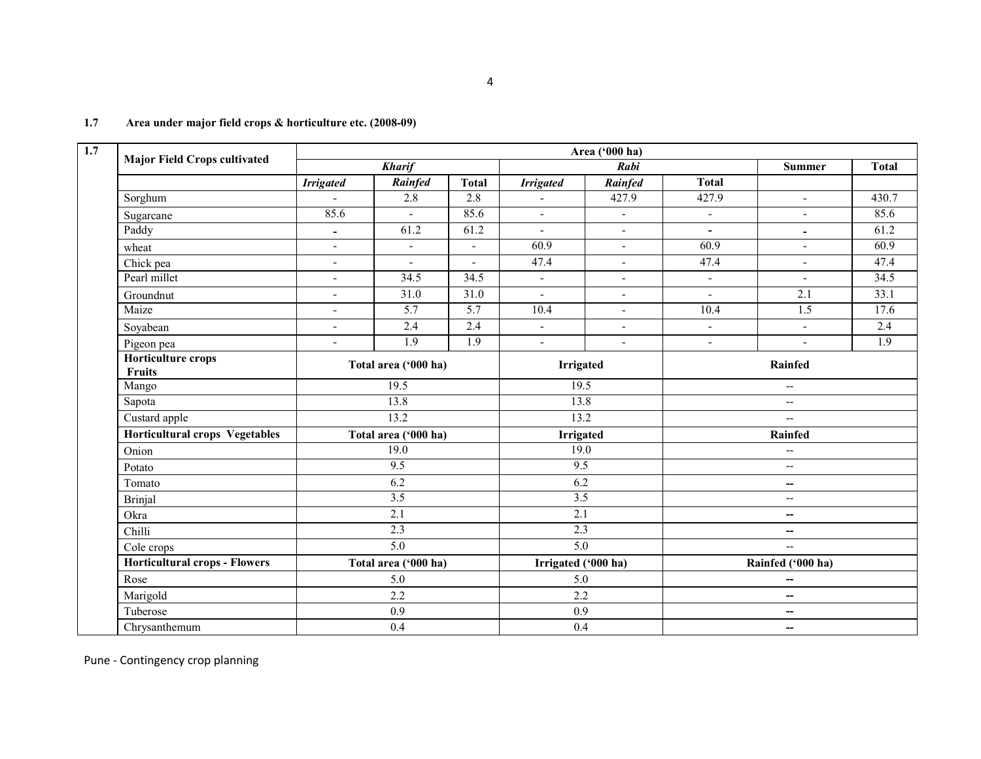|                                       |                          |                      |                  |                          | Area ('000 ha)           |                          |                          |                  |  |
|---------------------------------------|--------------------------|----------------------|------------------|--------------------------|--------------------------|--------------------------|--------------------------|------------------|--|
| <b>Major Field Crops cultivated</b>   |                          | <b>Kharif</b>        |                  |                          | Rabi                     |                          | <b>Summer</b>            | <b>Total</b>     |  |
|                                       | <b>Irrigated</b>         | Rainfed              | <b>Total</b>     | <b>Irrigated</b>         | <b>Rainfed</b>           | <b>Total</b>             |                          |                  |  |
| Sorghum                               | $\sim$                   | 2.8                  | 2.8              | ÷,                       | 427.9                    | 427.9                    | $\sim$                   | 430.7            |  |
| Sugarcane                             | 85.6                     |                      | 85.6             | $\blacksquare$           | $\overline{\phantom{a}}$ | $\blacksquare$           | $\blacksquare$           | 85.6             |  |
| Paddy                                 | $\blacksquare$           | 61.2                 | 61.2             | $\blacksquare$           | $\blacksquare$           | $\blacksquare$           | $\blacksquare$           | 61.2             |  |
| wheat                                 | $\overline{a}$           | $\blacksquare$       | $\sim$           | 60.9                     | $\overline{a}$           | 60.9                     | $\overline{a}$           | 60.9             |  |
| Chick pea                             | $\blacksquare$           | $\blacksquare$       | $\blacksquare$   | 47.4                     | $\overline{\phantom{a}}$ | 47.4                     | $\sim$                   | 47.4             |  |
| Pearl millet                          | $\blacksquare$           | 34.5                 | 34.5             | $\mathbf{L}$             | $\blacksquare$           | $\blacksquare$           | $\blacksquare$           | 34.5             |  |
| Groundnut                             | $\blacksquare$           | 31.0                 | 31.0             | $\blacksquare$           | $\blacksquare$           | $\blacksquare$           | $\overline{2.1}$         | 33.1             |  |
| Maize                                 | $\blacksquare$           | $\overline{5.7}$     | 5.7              | 10.4                     | $\blacksquare$           | 10.4                     | $\overline{1.5}$         | 17.6             |  |
| Soyabean                              | $\overline{\phantom{a}}$ | 2.4                  | 2.4              | $\overline{\phantom{a}}$ | $\overline{\phantom{a}}$ | $\blacksquare$           | $\overline{\phantom{a}}$ | 2.4              |  |
| Pigeon pea                            | $\blacksquare$           | $\overline{1.9}$     | $\overline{1.9}$ | $\blacksquare$           | $\blacksquare$           | $\blacksquare$           | $\overline{\phantom{a}}$ | $\overline{1.9}$ |  |
| <b>Horticulture crops</b><br>Fruits   |                          | Total area ('000 ha) |                  | <b>Irrigated</b>         |                          | Rainfed                  |                          |                  |  |
| Mango                                 |                          | 19.5                 |                  | 19.5                     |                          | $\overline{\phantom{a}}$ |                          |                  |  |
| Sapota                                |                          | 13.8                 |                  | 13.8                     |                          | $\overline{\phantom{a}}$ |                          |                  |  |
| Custard apple                         |                          | 13.2                 |                  | 13.2                     |                          | --                       |                          |                  |  |
| <b>Horticultural crops Vegetables</b> |                          | Total area ('000 ha) |                  | <b>Irrigated</b>         |                          | <b>Rainfed</b>           |                          |                  |  |
| Onion                                 |                          | 19.0                 |                  | 19.0                     |                          |                          | $\overline{\phantom{m}}$ |                  |  |
| Potato                                |                          | 9.5                  |                  | 9.5                      |                          | $\overline{\phantom{m}}$ |                          |                  |  |
| Tomato                                |                          | 6.2                  |                  | 6.2                      |                          |                          | $\overline{\phantom{m}}$ |                  |  |
| Brinjal                               |                          | 3.5                  |                  | 3.5                      |                          | $\overline{\phantom{a}}$ |                          |                  |  |
| Okra                                  |                          | 2.1                  |                  | 2.1                      |                          |                          | $\overline{\phantom{m}}$ |                  |  |
| Chilli                                |                          | 2.3                  |                  | 2.3                      |                          |                          | --                       |                  |  |
| Cole crops                            |                          | $\overline{5.0}$     |                  | $\overline{5.0}$         |                          |                          | $\mathbf{u}$             |                  |  |
| <b>Horticultural crops - Flowers</b>  |                          | Total area ('000 ha) |                  | Irrigated ('000 ha)      |                          |                          | Rainfed ('000 ha)        |                  |  |
| Rose                                  |                          | 5.0                  |                  | 5.0                      |                          |                          | $\overline{\phantom{a}}$ |                  |  |
| Marigold                              |                          | 2.2                  |                  | 2.2                      |                          |                          | $\overline{\phantom{m}}$ |                  |  |
| Tuberose                              |                          | 0.9                  |                  | 0.9                      |                          |                          | $\overline{\phantom{a}}$ |                  |  |
| Chrysanthemum                         |                          | 0.4                  |                  | 0.4                      |                          | --                       |                          |                  |  |

#### 1.7 Area under major field crops & horticulture etc. (2008-09)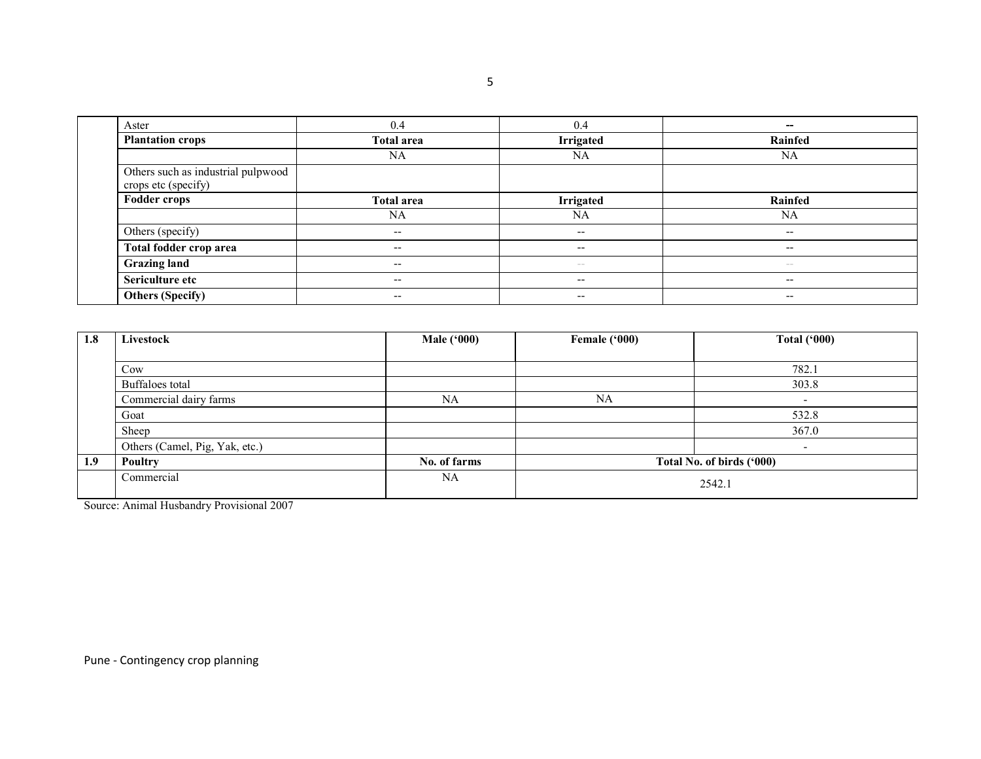| Aster                                                     | 0.4                      | 0.4                      | --                       |
|-----------------------------------------------------------|--------------------------|--------------------------|--------------------------|
| <b>Plantation crops</b>                                   | <b>Total area</b>        | Irrigated                | Rainfed                  |
|                                                           | NA                       | NA                       | <b>NA</b>                |
| Others such as industrial pulpwood<br>crops etc (specify) |                          |                          |                          |
| <b>Fodder crops</b>                                       | <b>Total area</b>        | Irrigated                | Rainfed                  |
|                                                           | NA                       | <b>NA</b>                | NA                       |
| Others (specify)                                          | $\overline{\phantom{m}}$ | $\overline{\phantom{a}}$ | $\overline{\phantom{a}}$ |
| Total fodder crop area                                    | $- -$                    | $\overline{\phantom{a}}$ | $\qquad \qquad -$        |
| <b>Grazing land</b>                                       | $\overline{\phantom{m}}$ | $\sim$ $-$               | $\sim$ $-$               |
| Sericulture etc                                           | $\overline{\phantom{m}}$ | $-$                      | $- -$                    |
| <b>Others (Specify)</b>                                   | $- -$                    | $\overline{\phantom{m}}$ | $- -$                    |

| 1.8 | Livestock                      | <b>Male ('000)</b> | Female ('000) | <b>Total ('000)</b>       |
|-----|--------------------------------|--------------------|---------------|---------------------------|
|     |                                |                    |               |                           |
|     | Cow                            |                    |               | 782.1                     |
|     | Buffaloes total                |                    |               | 303.8                     |
|     | Commercial dairy farms         | NA                 | NA            |                           |
|     | Goat                           |                    |               | 532.8                     |
|     | Sheep                          |                    |               | 367.0                     |
|     | Others (Camel, Pig, Yak, etc.) |                    |               |                           |
| 1.9 | <b>Poultry</b>                 | No. of farms       |               | Total No. of birds ('000) |
|     | Commercial                     | NA                 |               | 2542.1                    |

Source: Animal Husbandry Provisional 2007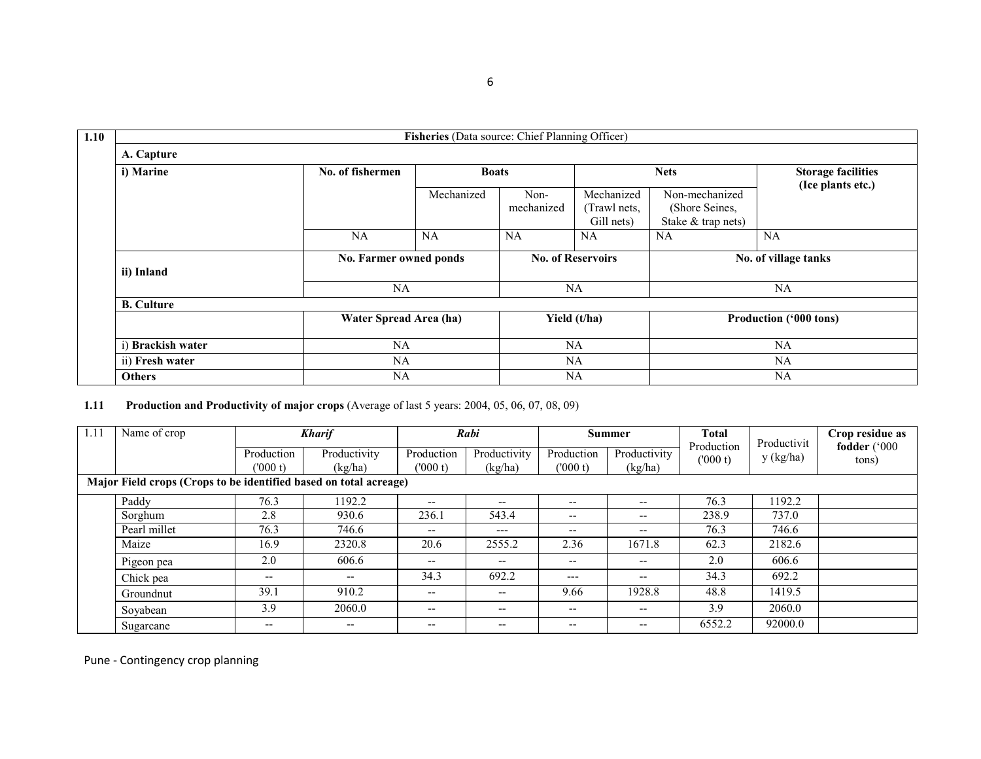| Fisheries (Data source: Chief Planning Officer) |                        |              |                          |                                          |                                                        |                                                |  |  |
|-------------------------------------------------|------------------------|--------------|--------------------------|------------------------------------------|--------------------------------------------------------|------------------------------------------------|--|--|
| A. Capture                                      |                        |              |                          |                                          |                                                        |                                                |  |  |
| i) Marine                                       | No. of fishermen       | <b>Boats</b> |                          |                                          | <b>Nets</b>                                            | <b>Storage facilities</b><br>(Ice plants etc.) |  |  |
|                                                 |                        | Mechanized   | Non-<br>mechanized       | Mechanized<br>(Trawl nets,<br>Gill nets) | Non-mechanized<br>(Shore Seines,<br>Stake & trap nets) |                                                |  |  |
|                                                 | <b>NA</b>              | <b>NA</b>    | NA                       | <b>NA</b>                                | <b>NA</b>                                              | NA                                             |  |  |
| ii) Inland                                      | No. Farmer owned ponds |              | <b>No. of Reservoirs</b> |                                          |                                                        | No. of village tanks                           |  |  |
|                                                 | <b>NA</b>              |              |                          | <b>NA</b>                                | NA                                                     |                                                |  |  |
| <b>B.</b> Culture                               |                        |              |                          |                                          |                                                        |                                                |  |  |
|                                                 | Water Spread Area (ha) |              |                          | Yield (t/ha)                             |                                                        | Production ('000 tons)                         |  |  |
| i) Brackish water                               | <b>NA</b>              |              |                          | <b>NA</b>                                | <b>NA</b>                                              |                                                |  |  |
| ii) Fresh water                                 | NA                     |              |                          | <b>NA</b>                                |                                                        | NA                                             |  |  |
| <b>Others</b>                                   | NA                     |              |                          | NA                                       |                                                        | NA.                                            |  |  |

1.11 Production and Productivity of major crops (Average of last 5 years: 2004, 05, 06, 07, 08, 09)

| 1.11 | Name of crop<br><b>Kharif</b>                                     |                          |                                                                                                   | Rabi                     |                         | Summer                |                                       | Productivit           | Crop residue as |                       |
|------|-------------------------------------------------------------------|--------------------------|---------------------------------------------------------------------------------------------------|--------------------------|-------------------------|-----------------------|---------------------------------------|-----------------------|-----------------|-----------------------|
|      |                                                                   | Production<br>(000 t)    | Productivity<br>(kg/ha)                                                                           | Production<br>(000 t)    | Productivity<br>(kg/ha) | Production<br>(000 t) | Productivity<br>(kg/ha)               | Production<br>(000 t) | y (kg/ha)       | fodder ('000<br>tons) |
|      | Major Field crops (Crops to be identified based on total acreage) |                          |                                                                                                   |                          |                         |                       |                                       |                       |                 |                       |
|      | Paddy                                                             | 76.3                     | 1192.2                                                                                            | --                       | --                      | $- -$                 | $\overline{\phantom{m}}$              | 76.3                  | 1192.2          |                       |
|      | Sorghum                                                           | 2.8                      | 930.6                                                                                             | 236.1                    | 543.4                   | $- -$                 | $\overline{\phantom{m}}$              | 238.9                 | 737.0           |                       |
|      | Pearl millet                                                      | 76.3                     | 746.6                                                                                             | $\overline{\phantom{m}}$ | $---$                   | $- -$                 | $\overline{\phantom{m}}$              | 76.3                  | 746.6           |                       |
|      | Maize                                                             | 16.9                     | 2320.8                                                                                            | 20.6                     | 2555.2                  | 2.36                  | 1671.8                                | 62.3                  | 2182.6          |                       |
|      | Pigeon pea                                                        | 2.0                      | 606.6                                                                                             | --                       | $- -$                   | $- -$                 | $\overline{\phantom{m}}$              | 2.0                   | 606.6           |                       |
|      | Chick pea                                                         | $\overline{\phantom{m}}$ | $- -$                                                                                             | 34.3                     | 692.2                   | ---                   | $\overline{\phantom{m}}$              | 34.3                  | 692.2           |                       |
|      | Groundnut                                                         | 39.1                     | 910.2                                                                                             | $- -$                    | --                      | 9.66                  | 1928.8                                | 48.8                  | 1419.5          |                       |
|      | Soyabean                                                          | 3.9                      | 2060.0                                                                                            | --                       | $- -$                   | $- -$                 | $\hspace{0.05cm}$ – $\hspace{0.05cm}$ | 3.9                   | 2060.0          |                       |
|      | Sugarcane                                                         | $- -$                    | $\hspace{0.05cm} \hspace{0.02cm} \hspace{0.02cm} \hspace{0.02cm} \hspace{0.02cm} \hspace{0.02cm}$ | --                       | --                      | $- -$                 | $- -$                                 | 6552.2                | 92000.0         |                       |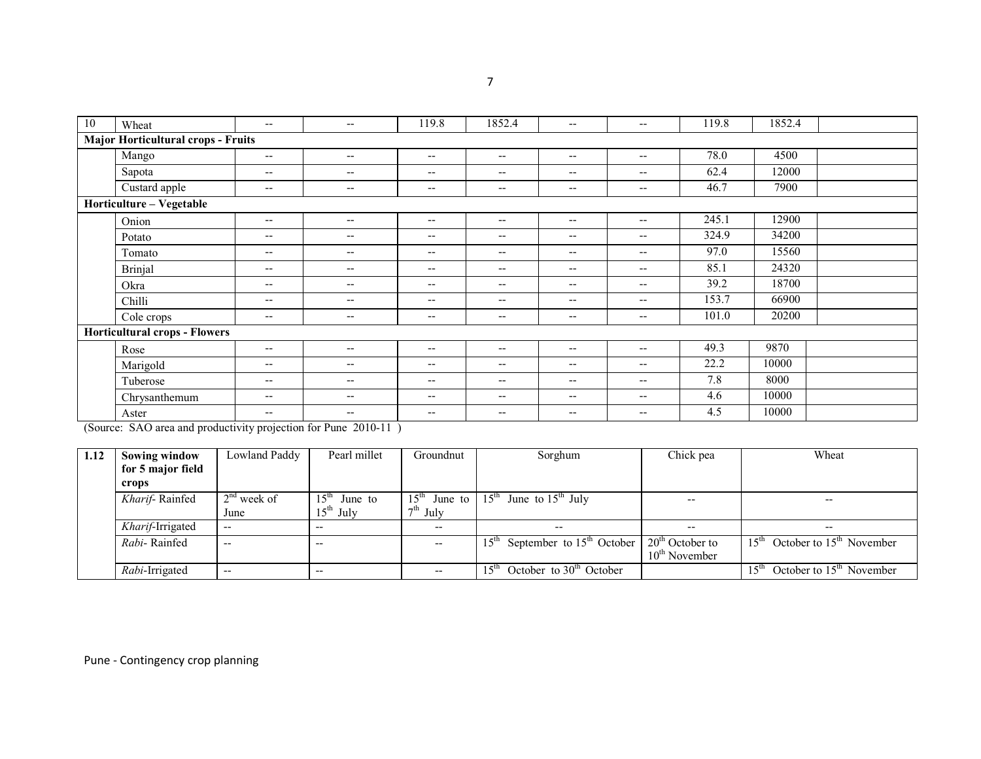| 10 | Wheat                                     | $\overline{\phantom{a}}$                            | $\overline{\phantom{a}}$              | 119.8                    | 1852.4                   | $\overline{\phantom{m}}$ | $\overline{\phantom{a}}$                            | 119.8 | 1852.4 |  |
|----|-------------------------------------------|-----------------------------------------------------|---------------------------------------|--------------------------|--------------------------|--------------------------|-----------------------------------------------------|-------|--------|--|
|    | <b>Major Horticultural crops - Fruits</b> |                                                     |                                       |                          |                          |                          |                                                     |       |        |  |
|    | Mango                                     | $\overline{\phantom{a}}$                            | $--$                                  | $\overline{\phantom{m}}$ | $\overline{\phantom{m}}$ | $- -$                    | $\hspace{0.05cm} -\hspace{0.05cm} -\hspace{0.05cm}$ | 78.0  | 4500   |  |
|    | Sapota                                    | $\overline{\phantom{a}}$                            | $\overline{\phantom{a}}$              | $\overline{\phantom{m}}$ | $\overline{\phantom{m}}$ | $\overline{\phantom{m}}$ | $\hspace{0.05cm} -\hspace{0.05cm} -\hspace{0.05cm}$ | 62.4  | 12000  |  |
|    | Custard apple                             | $\overline{\phantom{a}}$                            | $\overline{\phantom{a}}$              | $\overline{\phantom{m}}$ | $\overline{\phantom{m}}$ | $- -$                    | $\hspace{0.05cm} -\hspace{0.05cm} -\hspace{0.05cm}$ | 46.7  | 7900   |  |
|    | Horticulture - Vegetable                  |                                                     |                                       |                          |                          |                          |                                                     |       |        |  |
|    | Onion                                     | $\hspace{0.05cm} -\hspace{0.05cm} -\hspace{0.05cm}$ | $\overline{\phantom{a}}$              | $\overline{\phantom{a}}$ | $\overline{\phantom{m}}$ | $-$                      | $\hspace{0.05cm} -\hspace{0.05cm} -\hspace{0.05cm}$ | 245.1 | 12900  |  |
|    | Potato                                    | $\overline{\phantom{a}}$                            | $\overline{\phantom{a}}$              | $-$                      | $-$                      | $-$                      | $-$                                                 | 324.9 | 34200  |  |
|    | Tomato                                    | $\overline{\phantom{a}}$                            | $\overline{\phantom{a}}$              | $\overline{\phantom{a}}$ | $\overline{\phantom{m}}$ | $- -$                    | $\overline{\phantom{a}}$                            | 97.0  | 15560  |  |
|    | <b>Brinjal</b>                            | $\overline{\phantom{a}}$                            | $\hspace{0.05cm}$ – $\hspace{0.05cm}$ | $\overline{\phantom{a}}$ | $\overline{\phantom{a}}$ | $- -$                    | $\hspace{0.05cm} -\hspace{0.05cm} -\hspace{0.05cm}$ | 85.1  | 24320  |  |
|    | Okra                                      | $\overline{\phantom{a}}$                            | $\hspace{0.05cm}$ – $\hspace{0.05cm}$ | $\overline{\phantom{m}}$ | $\overline{\phantom{m}}$ | $\overline{\phantom{a}}$ | $\hspace{0.05cm} -\hspace{0.05cm} -\hspace{0.05cm}$ | 39.2  | 18700  |  |
|    | Chilli                                    | $\overline{\phantom{a}}$                            | $\overline{\phantom{a}}$              | $\overline{\phantom{m}}$ | $\overline{\phantom{m}}$ | $- -$                    | $\hspace{0.05cm} -\hspace{0.05cm} -\hspace{0.05cm}$ | 153.7 | 66900  |  |
|    | Cole crops                                | $\overline{\phantom{a}}$                            | $\overline{\phantom{m}}$              | $\overline{\phantom{a}}$ | $\overline{\phantom{m}}$ | $- -$                    | $\overline{\phantom{a}}$                            | 101.0 | 20200  |  |
|    | <b>Horticultural crops - Flowers</b>      |                                                     |                                       |                          |                          |                          |                                                     |       |        |  |
|    | Rose                                      | $\overline{\phantom{a}}$                            | $--$                                  | $\overline{\phantom{m}}$ | $\overline{\phantom{m}}$ | $\overline{\phantom{a}}$ | $\hspace{0.05cm} -\hspace{0.05cm} -\hspace{0.05cm}$ | 49.3  | 9870   |  |
|    | Marigold                                  | $\overline{\phantom{a}}$                            | $\hspace{0.05cm}$ – $\hspace{0.05cm}$ | $\overline{\phantom{a}}$ | $\overline{\phantom{m}}$ | $- -$                    | $\overline{\phantom{a}}$                            | 22.2  | 10000  |  |
|    | Tuberose                                  | $\overline{\phantom{a}}$                            | $\overline{\phantom{m}}$              | $\overline{\phantom{a}}$ | $\overline{\phantom{a}}$ | $- -$                    | $\overline{\phantom{a}}$                            | 7.8   | 8000   |  |
|    | Chrysanthemum                             | $\overline{\phantom{a}}$                            | $\overline{\phantom{a}}$              | $\overline{\phantom{a}}$ | $\overline{\phantom{a}}$ | $-$                      | $\hspace{0.05cm} -\hspace{0.05cm} -\hspace{0.05cm}$ | 4.6   | 10000  |  |
|    | Aster                                     | $\overline{\phantom{a}}$                            | $\overline{\phantom{m}}$              | $\overline{\phantom{a}}$ | $\overline{\phantom{m}}$ | $- -$                    | $\overline{\phantom{m}}$                            | 4.5   | 10000  |  |
|    |                                           |                                                     |                                       |                          |                          |                          |                                                     |       |        |  |

(Source: SAO area and productivity projection for Pune 2010-11 )

| 1.12 | <b>Sowing window</b> | Lowland Paddy | Pearl millet                | Groundnut                             | Sorghum                                         | Chick pea                | Wheat                                           |
|------|----------------------|---------------|-----------------------------|---------------------------------------|-------------------------------------------------|--------------------------|-------------------------------------------------|
|      | for 5 major field    |               |                             |                                       |                                                 |                          |                                                 |
|      | crops                |               |                             |                                       |                                                 |                          |                                                 |
|      | Kharif-Rainfed       | $2nd$ week of | 15 <sup>th</sup><br>June to | $15^{\text{th}}$<br>June to           | $15^{\text{th}}$<br>June to $15th$ July         | $\overline{\phantom{a}}$ | $- -$                                           |
|      |                      | June          | $15th$ July                 | $7th$ July                            |                                                 |                          |                                                 |
|      | Kharif-Irrigated     | $- -$         | $- -$                       | $\hspace{0.05cm}$ – $\hspace{0.05cm}$ | $- -$                                           | $\overline{\phantom{m}}$ | $- -$                                           |
|      | Rabi-Rainfed         | $- -$         | $- -$                       | $- -$                                 | September to $15th$ October<br>15 <sup>th</sup> | $20th$ October to        | October to $15th$ November<br>$15^{\mathrm{m}}$ |
|      |                      |               |                             |                                       |                                                 | $10th$ November          |                                                 |
|      | Rabi-Irrigated       | $- -$         | $- -$                       | $- -$                                 | October to $30th$ October                       |                          | October to $15th$ November<br>15 <sup>th</sup>  |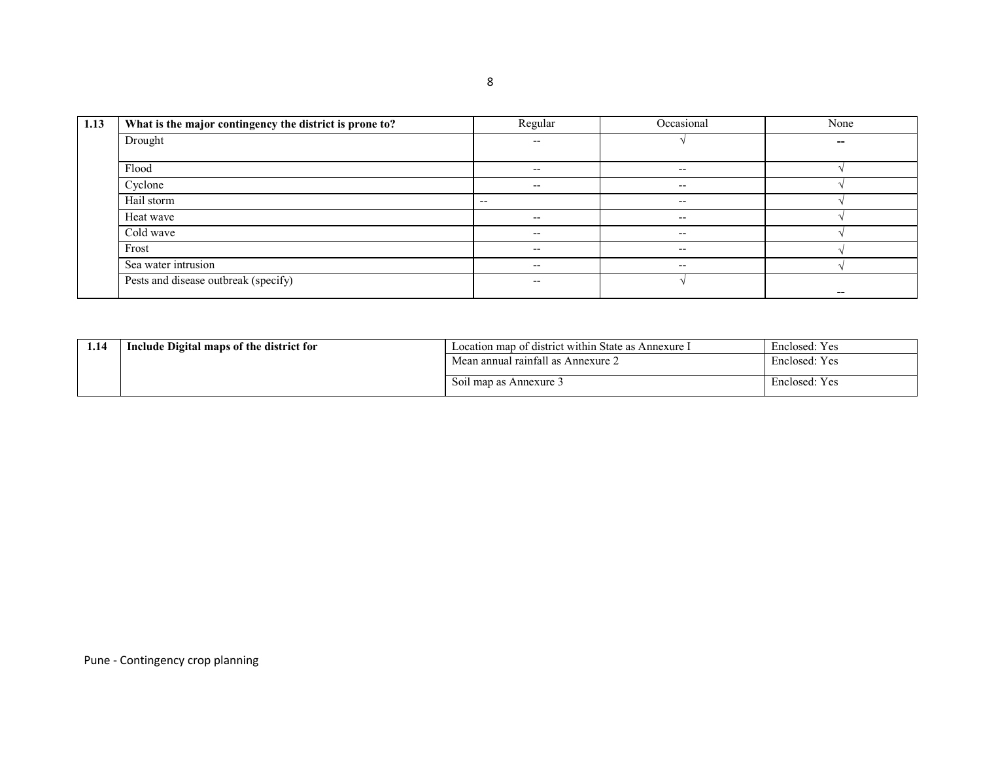| 1.13 | What is the major contingency the district is prone to? | Regular                               | Occasional | None |
|------|---------------------------------------------------------|---------------------------------------|------------|------|
|      | Drought                                                 | $- -$                                 |            | --   |
|      | Flood                                                   | $\hspace{0.05cm}$ – $\hspace{0.05cm}$ | $- -$      |      |
|      | Cyclone                                                 | $\hspace{0.05cm}$ – $\hspace{0.05cm}$ | $- -$      |      |
|      | Hail storm                                              | $- -$                                 | $- -$      |      |
|      | Heat wave                                               | $- -$                                 | $- -$      |      |
|      | Cold wave                                               | $- -$                                 | $- -$      |      |
|      | Frost                                                   | $- -$                                 | $- -$      |      |
|      | Sea water intrusion                                     | $- -$                                 | $- -$      |      |
|      | Pests and disease outbreak (specify)                    | $- -$                                 |            |      |

| 1.14 | Include Digital maps of the district for | Location map of district within State as Annexure I | Enclosed: Yes |
|------|------------------------------------------|-----------------------------------------------------|---------------|
|      |                                          | Mean annual rainfall as Annexure 2                  | Enclosed: Yes |
|      |                                          | Soil map as Annexure 3                              | Enclosed: Yes |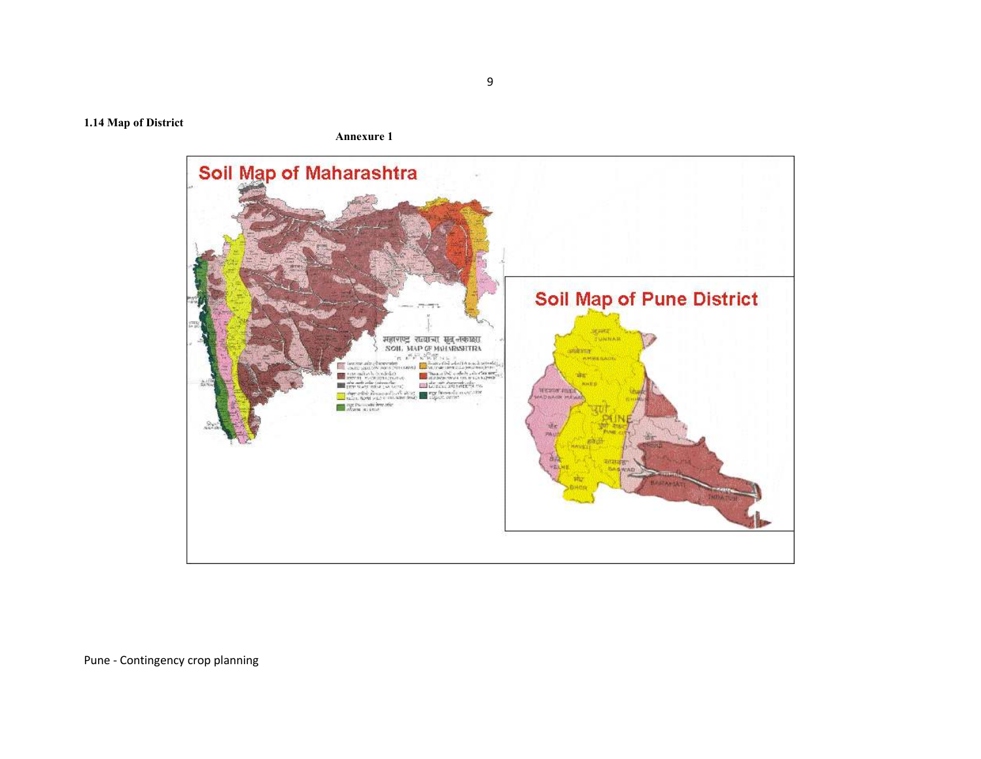1.14 Map of District

Annexure 1

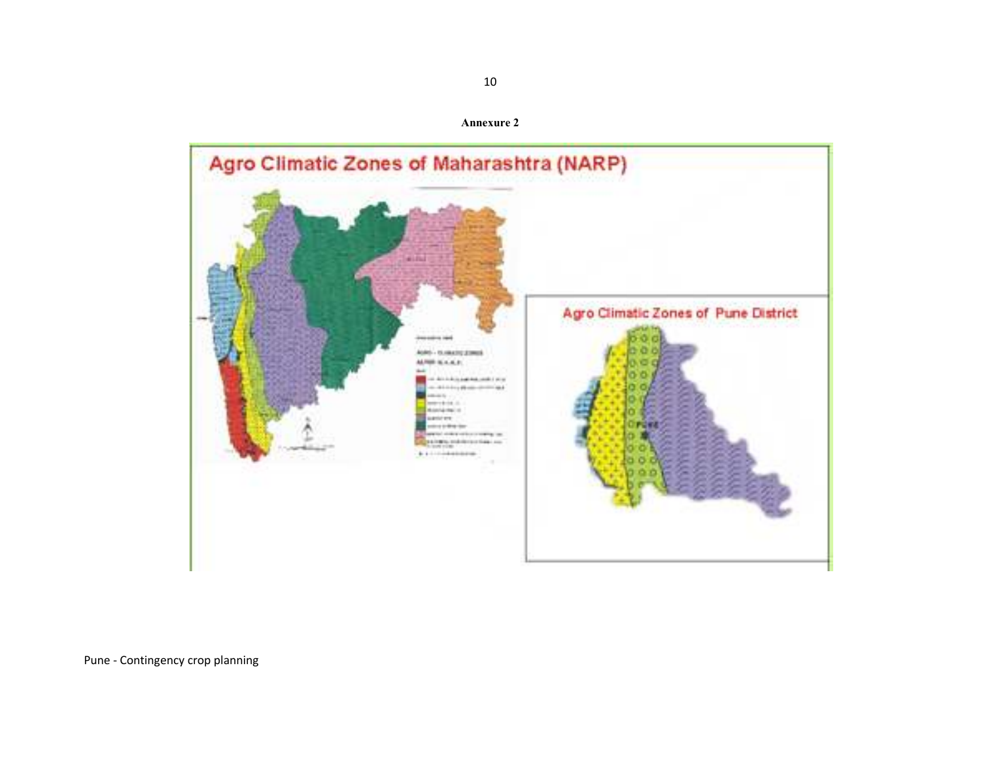

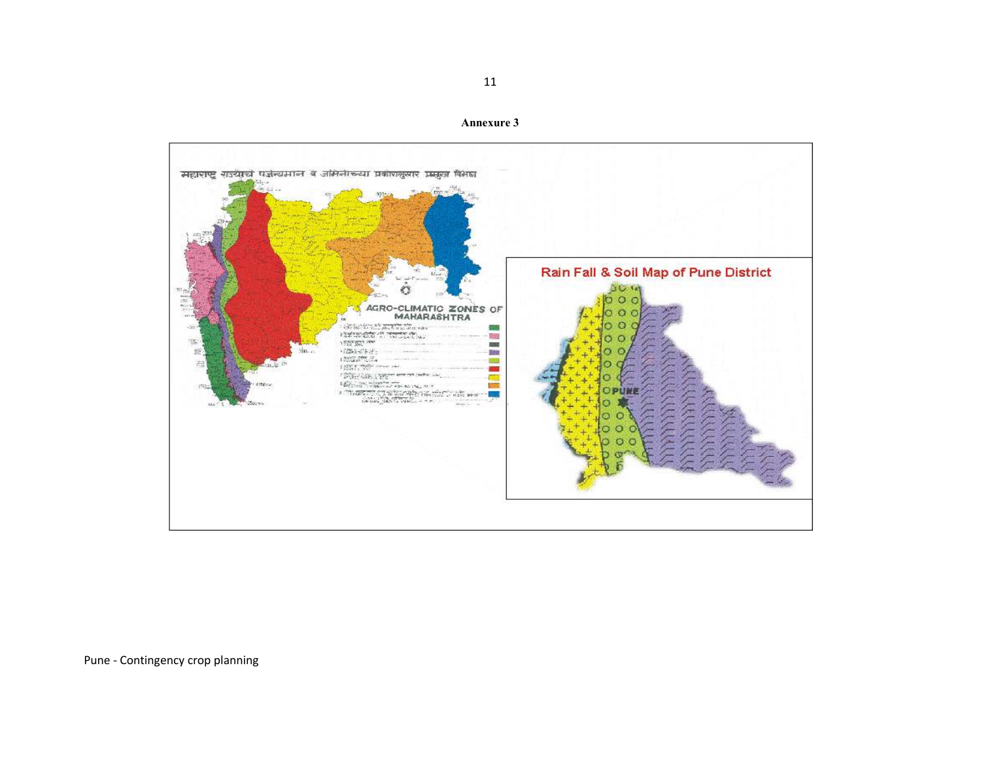

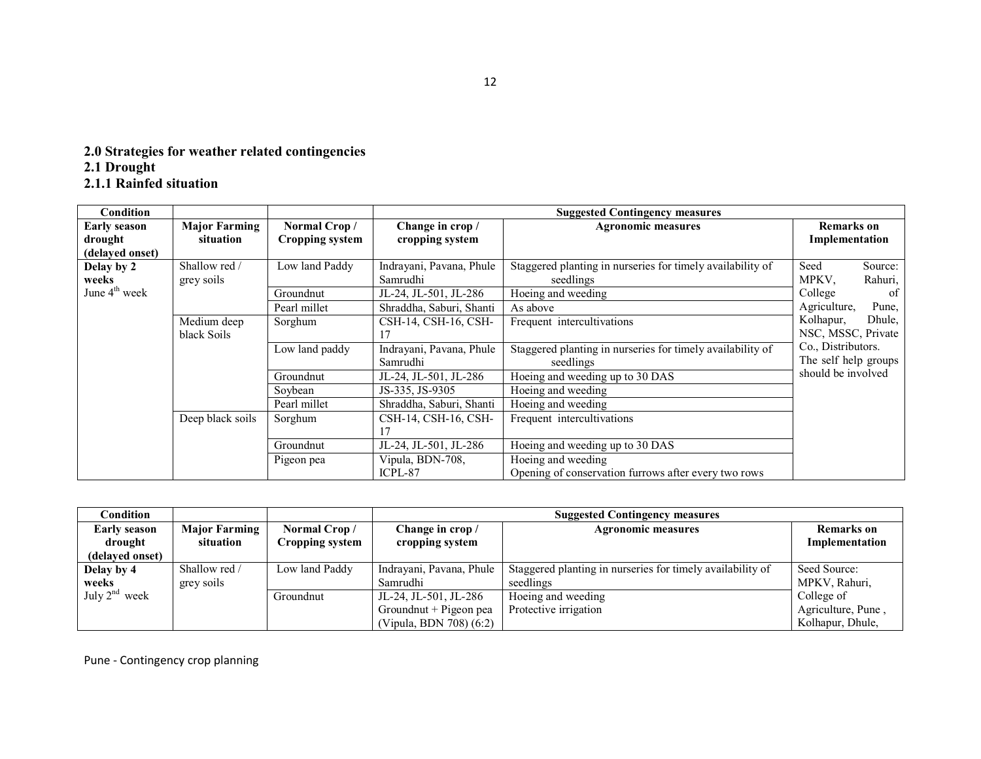# 2.0 Strategies for weather related contingencies 2.1 Drought 2.1.1 Rainfed situation

| <b>Condition</b>          |                      |                 |                          | <b>Suggested Contingency measures</b>                      |                       |
|---------------------------|----------------------|-----------------|--------------------------|------------------------------------------------------------|-----------------------|
| <b>Early season</b>       | <b>Major Farming</b> | Normal Crop/    | Change in crop /         | <b>Agronomic measures</b>                                  | <b>Remarks</b> on     |
| drought                   | situation            | Cropping system | cropping system          |                                                            | Implementation        |
| (delayed onset)           |                      |                 |                          |                                                            |                       |
| Delay by 2                | Shallow red /        | Low land Paddy  | Indrayani, Pavana, Phule | Staggered planting in nurseries for timely availability of | Seed<br>Source:       |
| weeks                     | grey soils           |                 | Samrudhi                 | seedlings                                                  | MPKV.<br>Rahuri,      |
| June 4 <sup>th</sup> week |                      | Groundnut       | JL-24, JL-501, JL-286    | Hoeing and weeding                                         | College<br>0f         |
|                           |                      | Pearl millet    | Shraddha, Saburi, Shanti | As above                                                   | Agriculture,<br>Pune, |
|                           | Medium deep          | Sorghum         | CSH-14, CSH-16, CSH-     | Frequent intercultivations                                 | Kolhapur,<br>Dhule,   |
|                           | black Soils          |                 |                          |                                                            | NSC, MSSC, Private    |
|                           |                      | Low land paddy  | Indrayani, Pavana, Phule | Staggered planting in nurseries for timely availability of | Co., Distributors.    |
|                           |                      |                 | Samrudhi                 | seedlings                                                  | The self help groups  |
|                           |                      | Groundnut       | JL-24, JL-501, JL-286    | Hoeing and weeding up to 30 DAS                            | should be involved    |
|                           |                      | Soybean         | JS-335, JS-9305          | Hoeing and weeding                                         |                       |
|                           |                      | Pearl millet    | Shraddha, Saburi, Shanti | Hoeing and weeding                                         |                       |
|                           | Deep black soils     | Sorghum         | CSH-14, CSH-16, CSH-     | Frequent intercultivations                                 |                       |
|                           |                      |                 |                          |                                                            |                       |
|                           |                      | Groundnut       | JL-24, JL-501, JL-286    | Hoeing and weeding up to 30 DAS                            |                       |
|                           |                      | Pigeon pea      | Vipula, BDN-708,         | Hoeing and weeding                                         |                       |
|                           |                      |                 | ICPL-87                  | Opening of conservation furrows after every two rows       |                       |

| Condition           |                      |                 |                          | <b>Suggested Contingency measures</b>                      |                    |
|---------------------|----------------------|-----------------|--------------------------|------------------------------------------------------------|--------------------|
| <b>Early season</b> | <b>Major Farming</b> | Normal Crop/    | Change in crop /         | <b>Agronomic measures</b>                                  | <b>Remarks</b> on  |
| drought             | situation            | Cropping system | cropping system          |                                                            | Implementation     |
| (delayed onset)     |                      |                 |                          |                                                            |                    |
| Delay by 4          | Shallow red /        | Low land Paddy  | Indrayani, Pavana, Phule | Staggered planting in nurseries for timely availability of | Seed Source:       |
| weeks               | grey soils           |                 | Samrudhi                 | seedlings                                                  | MPKV, Rahuri,      |
| July $2^{nd}$ week  |                      | Groundnut       | JL-24, JL-501, JL-286    | Hoeing and weeding                                         | College of         |
|                     |                      |                 | Groundnut + Pigeon pea   | Protective irrigation                                      | Agriculture, Pune, |
|                     |                      |                 | (Vipula, BDN 708) (6:2)  |                                                            | Kolhapur, Dhule,   |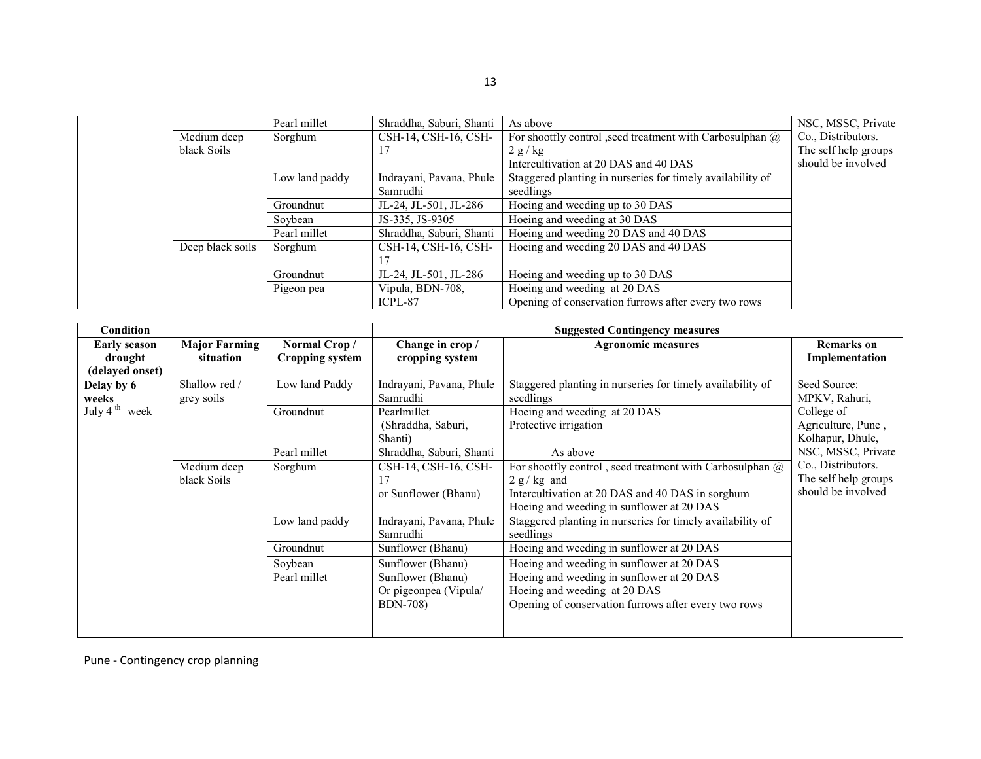|                  | Pearl millet   | Shraddha, Saburi, Shanti | As above                                                         | NSC, MSSC, Private   |
|------------------|----------------|--------------------------|------------------------------------------------------------------|----------------------|
| Medium deep      | Sorghum        | CSH-14, CSH-16, CSH-     | For shootfly control , seed treatment with Carbosulphan $\omega$ | Co., Distributors.   |
| black Soils      |                | 17                       | 2 g/kg                                                           | The self help groups |
|                  |                |                          | Intercultivation at 20 DAS and 40 DAS                            | should be involved   |
|                  | Low land paddy | Indrayani, Pavana, Phule | Staggered planting in nurseries for timely availability of       |                      |
|                  |                | Samrudhi                 | seedlings                                                        |                      |
|                  | Groundnut      | JL-24, JL-501, JL-286    | Hoeing and weeding up to 30 DAS                                  |                      |
|                  | Soybean        | JS-335, JS-9305          | Hoeing and weeding at 30 DAS                                     |                      |
|                  | Pearl millet   | Shraddha, Saburi, Shanti | Hoeing and weeding 20 DAS and 40 DAS                             |                      |
| Deep black soils | Sorghum        | CSH-14, CSH-16, CSH-     | Hoeing and weeding 20 DAS and 40 DAS                             |                      |
|                  |                |                          |                                                                  |                      |
|                  | Groundnut      | JL-24, JL-501, JL-286    | Hoeing and weeding up to 30 DAS                                  |                      |
|                  | Pigeon pea     | Vipula, BDN-708.         | Hoeing and weeding at 20 DAS                                     |                      |
|                  |                | ICPL-87                  | Opening of conservation furrows after every two rows             |                      |

| Condition                 |                      |                 |                          | <b>Suggested Contingency measures</b>                      |                      |
|---------------------------|----------------------|-----------------|--------------------------|------------------------------------------------------------|----------------------|
| <b>Early season</b>       | <b>Major Farming</b> | Normal Crop/    | Change in crop /         | <b>Agronomic measures</b>                                  | <b>Remarks</b> on    |
| drought                   | situation            | Cropping system | cropping system          |                                                            | Implementation       |
| (delayed onset)           |                      |                 |                          |                                                            |                      |
| Delay by 6                | Shallow red /        | Low land Paddy  | Indrayani, Pavana, Phule | Staggered planting in nurseries for timely availability of | Seed Source:         |
| weeks                     | grey soils           |                 | Samrudhi                 | seedlings                                                  | MPKV, Rahuri,        |
| July 4 <sup>th</sup> week |                      | Groundnut       | Pearlmillet              | Hoeing and weeding at 20 DAS                               | College of           |
|                           |                      |                 | (Shraddha, Saburi,       | Protective irrigation                                      | Agriculture, Pune,   |
|                           |                      |                 | Shanti)                  |                                                            | Kolhapur, Dhule,     |
|                           |                      | Pearl millet    | Shraddha, Saburi, Shanti | As above                                                   | NSC, MSSC, Private   |
|                           | Medium deep          | Sorghum         | CSH-14, CSH-16, CSH-     | For shootfly control, seed treatment with Carbosulphan $@$ | Co., Distributors.   |
|                           | black Soils          |                 | 17                       | $2 g/kg$ and                                               | The self help groups |
|                           |                      |                 | or Sunflower (Bhanu)     | Intercultivation at 20 DAS and 40 DAS in sorghum           | should be involved   |
|                           |                      |                 |                          | Hoeing and weeding in sunflower at 20 DAS                  |                      |
|                           |                      | Low land paddy  | Indrayani, Pavana, Phule | Staggered planting in nurseries for timely availability of |                      |
|                           |                      |                 | Samrudhi                 | seedlings                                                  |                      |
|                           |                      | Groundnut       | Sunflower (Bhanu)        | Hoeing and weeding in sunflower at 20 DAS                  |                      |
|                           |                      | Soybean         | Sunflower (Bhanu)        | Hoeing and weeding in sunflower at 20 DAS                  |                      |
|                           |                      | Pearl millet    | Sunflower (Bhanu)        | Hoeing and weeding in sunflower at 20 DAS                  |                      |
|                           |                      |                 | Or pigeonpea (Vipula/    | Hoeing and weeding at 20 DAS                               |                      |
|                           |                      |                 | <b>BDN-708</b> )         | Opening of conservation furrows after every two rows       |                      |
|                           |                      |                 |                          |                                                            |                      |
|                           |                      |                 |                          |                                                            |                      |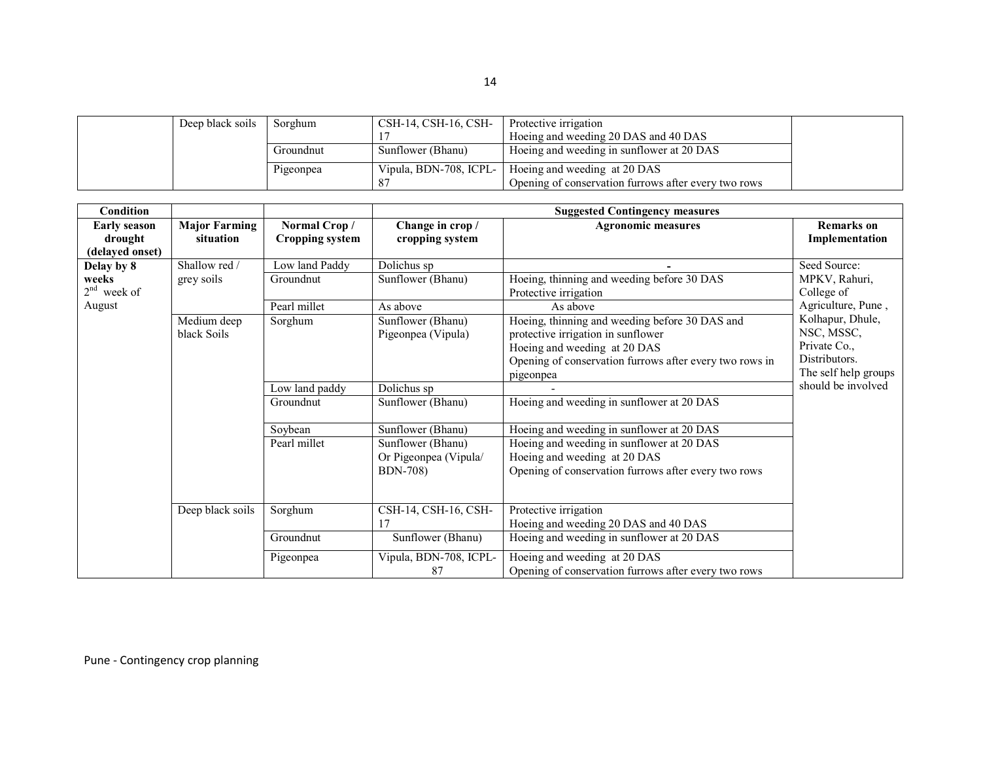| Deep black soils | Sorghum   | CSH-14, CSH-16, CSH-   | Protective irrigation                                |  |
|------------------|-----------|------------------------|------------------------------------------------------|--|
|                  |           |                        | Hoeing and weeding 20 DAS and 40 DAS                 |  |
|                  | Groundnut | Sunflower (Bhanu)      | Hoeing and weeding in sunflower at 20 DAS            |  |
|                  | Pigeonpea | Vipula, BDN-708, ICPL- | Hoeing and weeding at 20 DAS                         |  |
|                  |           | 87                     | Opening of conservation furrows after every two rows |  |

| Condition                                         |                                   |                                        |                                            | <b>Suggested Contingency measures</b>                                                                                                                                                        |                                                                                         |
|---------------------------------------------------|-----------------------------------|----------------------------------------|--------------------------------------------|----------------------------------------------------------------------------------------------------------------------------------------------------------------------------------------------|-----------------------------------------------------------------------------------------|
| <b>Early season</b><br>drought<br>(delayed onset) | <b>Major Farming</b><br>situation | Normal Crop/<br><b>Cropping system</b> | Change in crop /<br>cropping system        | <b>Agronomic measures</b>                                                                                                                                                                    | <b>Remarks</b> on<br>Implementation                                                     |
| Delay by 8                                        | Shallow red /                     | Low land Paddy                         | Dolichus sp                                |                                                                                                                                                                                              | Seed Source:                                                                            |
| weeks<br>$2nd$ week of                            | grey soils                        | Groundnut                              | Sunflower (Bhanu)                          | Hoeing, thinning and weeding before 30 DAS<br>Protective irrigation                                                                                                                          | MPKV, Rahuri,<br>College of                                                             |
| August                                            |                                   | Pearl millet                           | As above                                   | As above                                                                                                                                                                                     | Agriculture, Pune,                                                                      |
|                                                   | Medium deep<br>black Soils        | Sorghum                                | Sunflower (Bhanu)<br>Pigeonpea (Vipula)    | Hoeing, thinning and weeding before 30 DAS and<br>protective irrigation in sunflower<br>Hoeing and weeding at 20 DAS<br>Opening of conservation furrows after every two rows in<br>pigeonpea | Kolhapur, Dhule,<br>NSC, MSSC,<br>Private Co.,<br>Distributors.<br>The self help groups |
|                                                   |                                   | Low land paddy                         | Dolichus sp                                |                                                                                                                                                                                              | should be involved                                                                      |
|                                                   |                                   | Groundnut                              | Sunflower (Bhanu)                          | Hoeing and weeding in sunflower at 20 DAS                                                                                                                                                    |                                                                                         |
|                                                   |                                   | Soybean                                | Sunflower (Bhanu)                          | Hoeing and weeding in sunflower at 20 DAS                                                                                                                                                    |                                                                                         |
|                                                   |                                   | Pearl millet                           | Sunflower (Bhanu)<br>Or Pigeonpea (Vipula/ | Hoeing and weeding in sunflower at 20 DAS<br>Hoeing and weeding at 20 DAS                                                                                                                    |                                                                                         |
|                                                   |                                   |                                        | <b>BDN-708</b> )                           | Opening of conservation furrows after every two rows                                                                                                                                         |                                                                                         |
|                                                   | Deep black soils                  | Sorghum                                | CSH-14, CSH-16, CSH-<br>17                 | Protective irrigation<br>Hoeing and weeding 20 DAS and 40 DAS                                                                                                                                |                                                                                         |
|                                                   |                                   | Groundnut                              | Sunflower (Bhanu)                          | Hoeing and weeding in sunflower at 20 DAS                                                                                                                                                    |                                                                                         |
|                                                   |                                   | Pigeonpea                              | Vipula, BDN-708, ICPL-<br>87               | Hoeing and weeding at 20 DAS<br>Opening of conservation furrows after every two rows                                                                                                         |                                                                                         |

14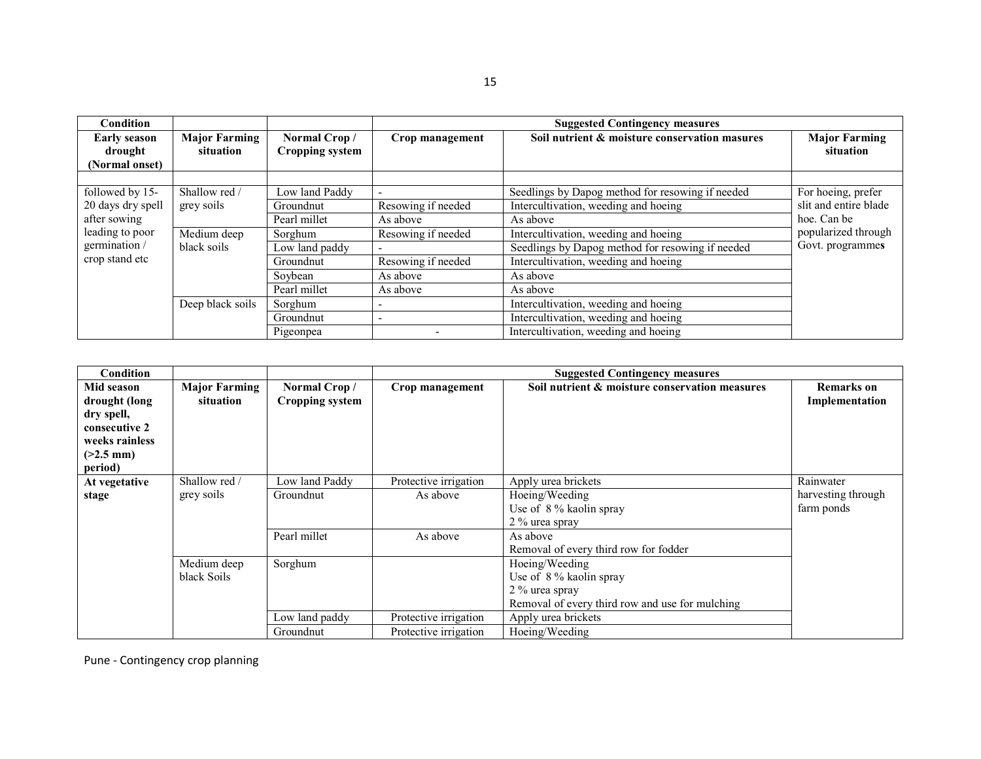| <b>Condition</b>                                 |                                   |                                        |                          | <b>Suggested Contingency measures</b>            |                                   |
|--------------------------------------------------|-----------------------------------|----------------------------------------|--------------------------|--------------------------------------------------|-----------------------------------|
| <b>Early season</b><br>drought<br>(Normal onset) | <b>Major Farming</b><br>situation | Normal Crop/<br><b>Cropping system</b> | Crop management          | Soil nutrient & moisture conservation masures    | <b>Major Farming</b><br>situation |
| followed by 15-                                  | Shallow red /                     | Low land Paddy                         |                          | Seedlings by Dapog method for resowing if needed | For hoeing, prefer                |
| 20 days dry spell                                | grey soils                        | Groundnut                              | Resowing if needed       | Intercultivation, weeding and hoeing             | slit and entire blade             |
| after sowing                                     |                                   | Pearl millet                           | As above                 | As above                                         | hoe. Can be                       |
| leading to poor                                  | Medium deep                       | Sorghum                                | Resowing if needed       | Intercultivation, weeding and hoeing             | popularized through               |
| germination /                                    | black soils                       | Low land paddy                         | $\overline{\phantom{0}}$ | Seedlings by Dapog method for resowing if needed | Govt. programmes                  |
| crop stand etc                                   |                                   | Groundnut                              | Resowing if needed       | Intercultivation, weeding and hoeing             |                                   |
|                                                  |                                   | Soybean                                | As above                 | As above                                         |                                   |
|                                                  |                                   | Pearl millet                           | As above                 | As above                                         |                                   |
|                                                  | Deep black soils                  | Sorghum                                |                          | Intercultivation, weeding and hoeing             |                                   |
|                                                  |                                   | Groundnut                              | $\overline{\phantom{a}}$ | Intercultivation, weeding and hoeing             |                                   |
|                                                  |                                   | Pigeonpea                              |                          | Intercultivation, weeding and hoeing             |                                   |

| Condition                                                                                              |                                   |                                        |                       | <b>Suggested Contingency measures</b>           |                                     |
|--------------------------------------------------------------------------------------------------------|-----------------------------------|----------------------------------------|-----------------------|-------------------------------------------------|-------------------------------------|
| Mid season<br>drought (long<br>dry spell,<br>consecutive 2<br>weeks rainless<br>$(>2.5$ mm)<br>period) | <b>Major Farming</b><br>situation | Normal Crop/<br><b>Cropping system</b> | Crop management       | Soil nutrient & moisture conservation measures  | <b>Remarks</b> on<br>Implementation |
| At vegetative                                                                                          | Shallow red /                     | Low land Paddy                         | Protective irrigation | Apply urea brickets                             | Rainwater                           |
| stage                                                                                                  | grey soils                        | Groundnut                              | As above              | Hoeing/Weeding                                  | harvesting through                  |
|                                                                                                        |                                   |                                        |                       | Use of 8% kaolin spray<br>2 % urea spray        | farm ponds                          |
|                                                                                                        |                                   | Pearl millet                           | As above              | As above                                        |                                     |
|                                                                                                        |                                   |                                        |                       | Removal of every third row for fodder           |                                     |
|                                                                                                        | Medium deep                       | Sorghum                                |                       | Hoeing/Weeding                                  |                                     |
|                                                                                                        | black Soils                       |                                        |                       | Use of 8% kaolin spray                          |                                     |
|                                                                                                        |                                   |                                        |                       | 2 % urea spray                                  |                                     |
|                                                                                                        |                                   |                                        |                       | Removal of every third row and use for mulching |                                     |
|                                                                                                        |                                   | Low land paddy                         | Protective irrigation | Apply urea brickets                             |                                     |
|                                                                                                        |                                   | Groundnut                              | Protective irrigation | Hoeing/Weeding                                  |                                     |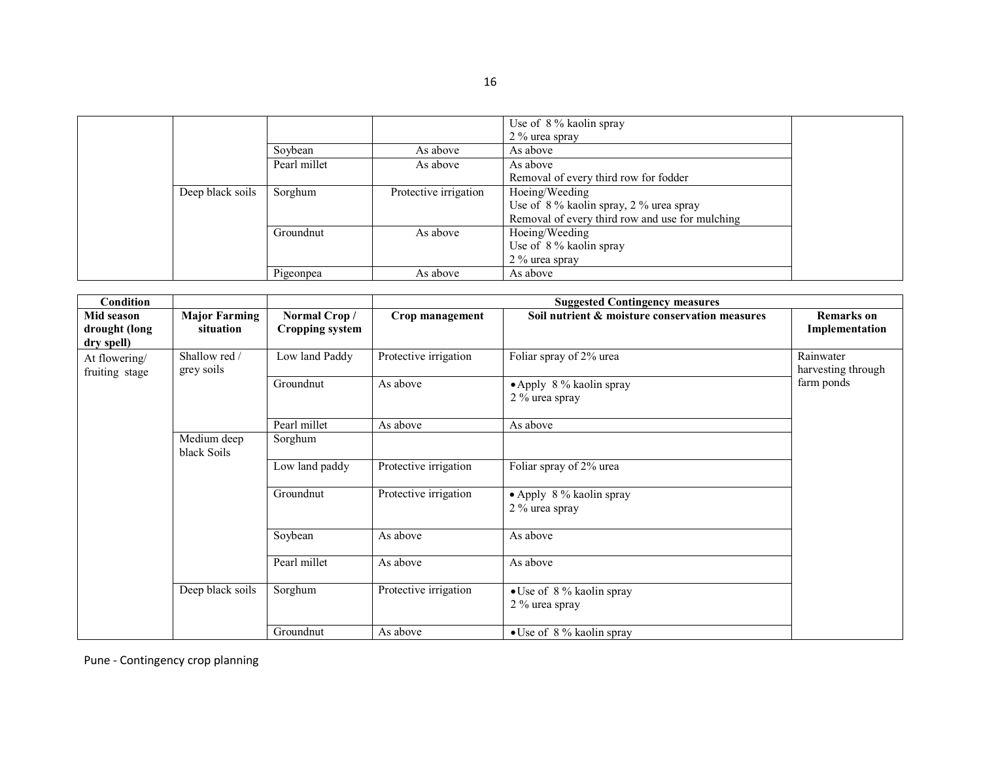|                  |              |                       | Use of 8 % kaolin spray                         |
|------------------|--------------|-----------------------|-------------------------------------------------|
|                  |              |                       | 2 % urea spray                                  |
|                  | Soybean      | As above              | As above                                        |
|                  | Pearl millet | As above              | As above                                        |
|                  |              |                       | Removal of every third row for fodder           |
| Deep black soils | Sorghum      | Protective irrigation | Hoeing/Weeding                                  |
|                  |              |                       | Use of 8% kaolin spray, 2% urea spray           |
|                  |              |                       | Removal of every third row and use for mulching |
|                  | Groundnut    | As above              | Hoeing/Weeding                                  |
|                  |              |                       | Use of $8\%$ kaolin spray                       |
|                  |              |                       | 2 % urea spray                                  |
|                  | Pigeonpea    | As above              | As above                                        |

| Condition                                 |                                   |                                        |                       | <b>Suggested Contingency measures</b>          |                                     |
|-------------------------------------------|-----------------------------------|----------------------------------------|-----------------------|------------------------------------------------|-------------------------------------|
| Mid season<br>drought (long<br>dry spell) | <b>Major Farming</b><br>situation | Normal Crop/<br><b>Cropping system</b> | Crop management       | Soil nutrient & moisture conservation measures | <b>Remarks</b> on<br>Implementation |
| At flowering/<br>fruiting stage           | Shallow red /<br>grey soils       | Low land Paddy                         | Protective irrigation | Foliar spray of 2% urea                        | Rainwater<br>harvesting through     |
|                                           |                                   | Groundnut                              | As above              | • Apply 8 % kaolin spray<br>2 % urea spray     | farm ponds                          |
|                                           |                                   | Pearl millet                           | As above              | As above                                       |                                     |
|                                           | Medium deep<br>black Soils        | Sorghum                                |                       |                                                |                                     |
|                                           |                                   | Low land paddy                         | Protective irrigation | Foliar spray of 2% urea                        |                                     |
|                                           |                                   | Groundnut                              | Protective irrigation | • Apply $8\%$ kaolin spray<br>2 % urea spray   |                                     |
|                                           |                                   | Soybean                                | As above              | As above                                       |                                     |
|                                           |                                   | Pearl millet                           | As above              | As above                                       |                                     |
|                                           | Deep black soils                  | Sorghum                                | Protective irrigation | • Use of 8% kaolin spray<br>2 % urea spray     |                                     |
|                                           |                                   | Groundnut                              | As above              | $\bullet$ Use of 8% kaolin spray               |                                     |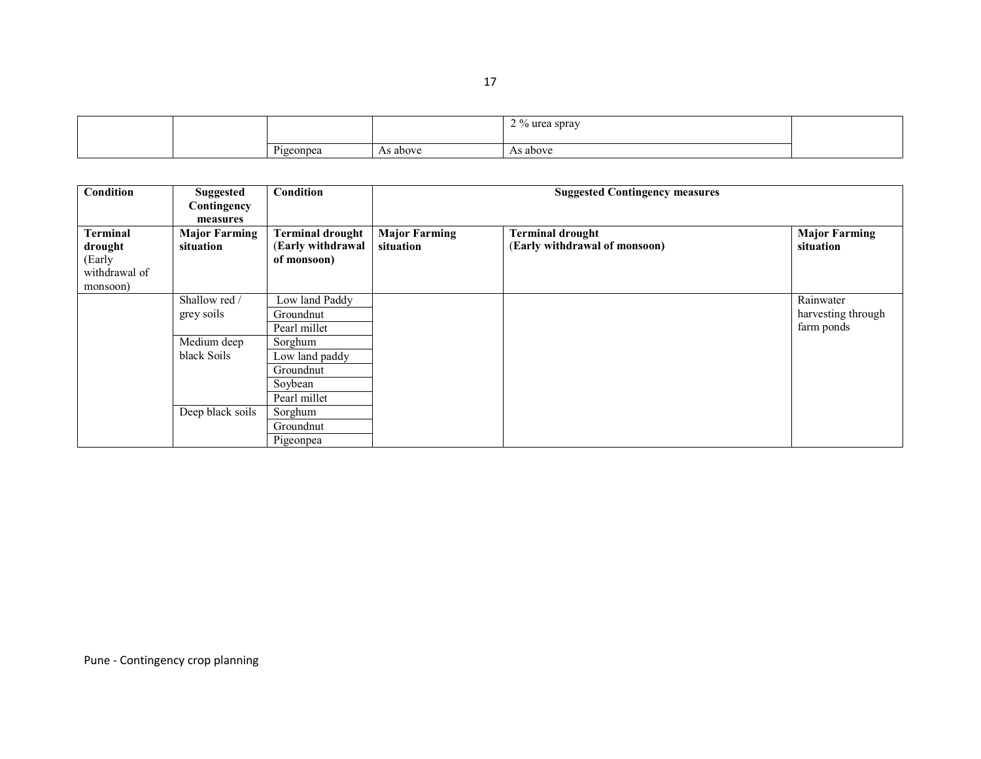|  |              |       | 20 <sup>o</sup><br>$\alpha$ lifes<br>sprav ا |  |
|--|--------------|-------|----------------------------------------------|--|
|  | D.<br>eonpea | above | As above                                     |  |

| Condition                                                         | <b>Suggested</b><br>Contingency<br>measures | Condition                                                         | <b>Suggested Contingency measures</b> |                                                          |                                               |
|-------------------------------------------------------------------|---------------------------------------------|-------------------------------------------------------------------|---------------------------------------|----------------------------------------------------------|-----------------------------------------------|
| <b>Terminal</b><br>drought<br>(Early<br>withdrawal of<br>monsoon) | <b>Major Farming</b><br>situation           | <b>Terminal drought</b><br>(Early withdrawal<br>of monsoon)       | <b>Major Farming</b><br>situation     | <b>Terminal drought</b><br>(Early withdrawal of monsoon) | <b>Major Farming</b><br>situation             |
|                                                                   | Shallow red /<br>grey soils                 | Low land Paddy<br>Groundnut<br>Pearl millet                       |                                       |                                                          | Rainwater<br>harvesting through<br>farm ponds |
|                                                                   | Medium deep<br>black Soils                  | Sorghum<br>Low land paddy<br>Groundnut<br>Soybean<br>Pearl millet |                                       |                                                          |                                               |
|                                                                   | Deep black soils                            | Sorghum<br>Groundnut<br>Pigeonpea                                 |                                       |                                                          |                                               |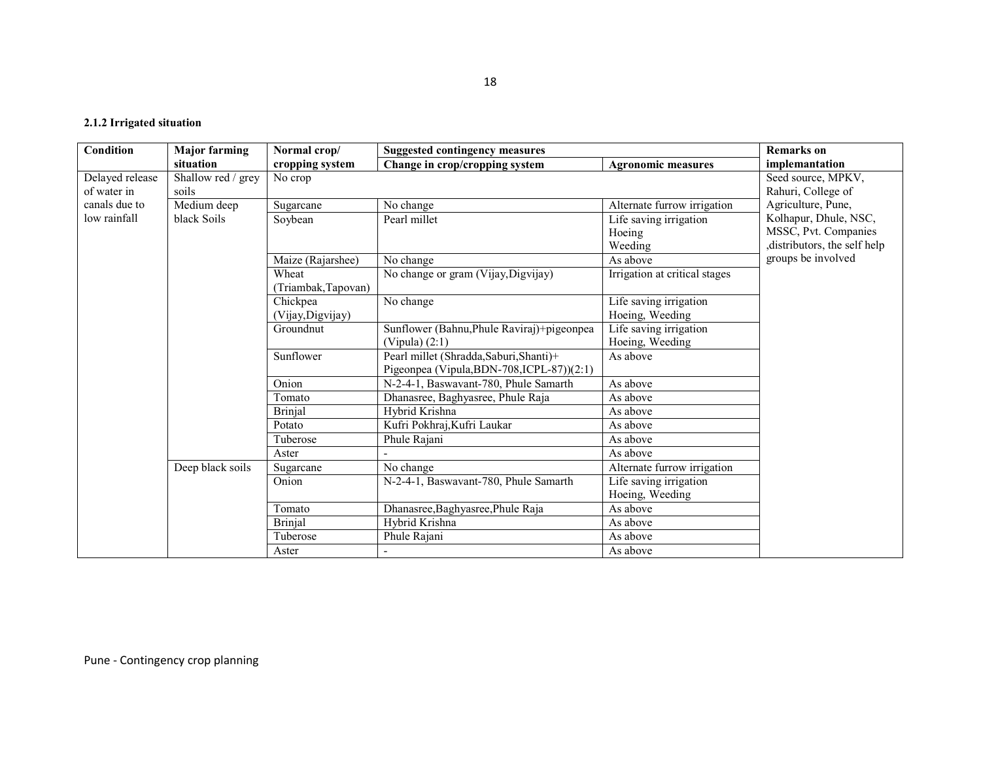#### 2.1.2 Irrigated situation

| Condition       | <b>Major farming</b> | Normal crop/        | <b>Suggested contingency measures</b>      | <b>Remarks</b> on             |                             |
|-----------------|----------------------|---------------------|--------------------------------------------|-------------------------------|-----------------------------|
|                 | situation            | cropping system     | Change in crop/cropping system             | <b>Agronomic measures</b>     | implemantation              |
| Delayed release | Shallow red / grey   | No crop             |                                            |                               | Seed source, MPKV,          |
| of water in     | soils                |                     |                                            |                               | Rahuri, College of          |
| canals due to   | Medium deep          | Sugarcane           | No change                                  | Alternate furrow irrigation   | Agriculture, Pune,          |
| low rainfall    | black Soils          | Soybean             | Pearl millet                               | Life saving irrigation        | Kolhapur, Dhule, NSC,       |
|                 |                      |                     |                                            | Hoeing                        | MSSC, Pvt. Companies        |
|                 |                      |                     |                                            | Weeding                       | distributors, the self help |
|                 |                      | Maize (Rajarshee)   | No change                                  | As above                      | groups be involved          |
|                 |                      | Wheat               | No change or gram (Vijay, Digvijay)        | Irrigation at critical stages |                             |
|                 |                      | (Triambak, Tapovan) |                                            |                               |                             |
|                 |                      | Chickpea            | No change                                  | Life saving irrigation        |                             |
|                 |                      | (Vijay, Digvijay)   |                                            | Hoeing, Weeding               |                             |
|                 |                      | Groundnut           | Sunflower (Bahnu, Phule Raviraj)+pigeonpea | Life saving irrigation        |                             |
|                 |                      |                     | (Vipula) $(2:1)$                           | Hoeing, Weeding               |                             |
|                 |                      | Sunflower           | Pearl millet (Shradda, Saburi, Shanti)+    | As above                      |                             |
|                 |                      |                     | Pigeonpea (Vipula, BDN-708, ICPL-87))(2:1) |                               |                             |
|                 |                      | Onion               | N-2-4-1, Baswavant-780, Phule Samarth      | As above                      |                             |
|                 |                      | Tomato              | Dhanasree, Baghyasree, Phule Raja          | As above                      |                             |
|                 |                      | <b>Brinjal</b>      | Hybrid Krishna                             | As above                      |                             |
|                 |                      | Potato              | Kufri Pokhraj, Kufri Laukar                | As above                      |                             |
|                 |                      | Tuberose            | Phule Rajani                               | As above                      |                             |
|                 |                      | Aster               |                                            | As above                      |                             |
|                 | Deep black soils     | Sugarcane           | No change                                  | Alternate furrow irrigation   |                             |
|                 |                      | Onion               | N-2-4-1, Baswavant-780, Phule Samarth      | Life saving irrigation        |                             |
|                 |                      |                     |                                            | Hoeing, Weeding               |                             |
|                 |                      | Tomato              | Dhanasree, Baghyasree, Phule Raja          | As above                      |                             |
|                 |                      | <b>Brinjal</b>      | Hybrid Krishna                             | As above                      |                             |
|                 |                      | Tuberose            | Phule Rajani                               | As above                      |                             |
|                 |                      | Aster               |                                            | As above                      |                             |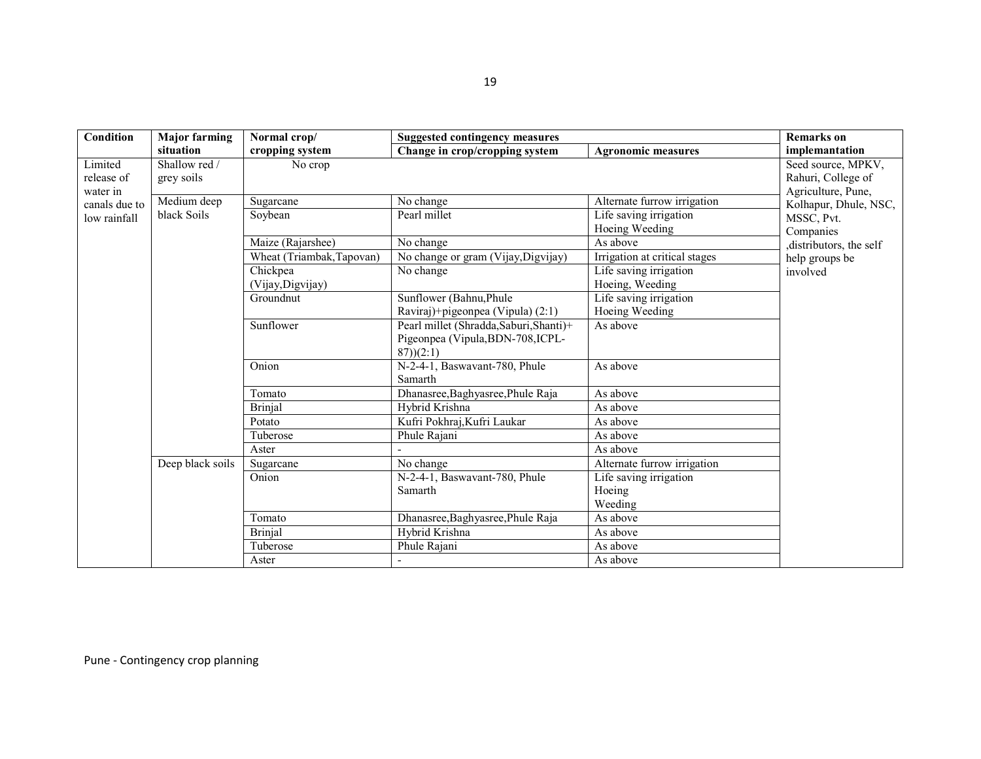| Condition     | <b>Major farming</b> | Normal crop/              | <b>Suggested contingency measures</b>   | <b>Remarks</b> on             |                        |
|---------------|----------------------|---------------------------|-----------------------------------------|-------------------------------|------------------------|
|               | situation            | cropping system           | Change in crop/cropping system          | <b>Agronomic measures</b>     | implemantation         |
| Limited       | Shallow red /        | No crop                   |                                         |                               | Seed source, MPKV,     |
| release of    | grey soils           |                           |                                         |                               | Rahuri, College of     |
| water in      |                      |                           |                                         |                               | Agriculture, Pune,     |
| canals due to | Medium deep          | Sugarcane                 | No change                               | Alternate furrow irrigation   | Kolhapur, Dhule, NSC,  |
| low rainfall  | black Soils          | Soybean                   | Pearl millet                            | Life saving irrigation        | MSSC, Pvt.             |
|               |                      |                           |                                         | Hoeing Weeding                | Companies              |
|               |                      | Maize (Rajarshee)         | No change                               | As above                      | distributors, the self |
|               |                      | Wheat (Triambak, Tapovan) | No change or gram (Vijay, Digvijay)     | Irrigation at critical stages | help groups be         |
|               |                      | Chickpea                  | No change                               | Life saving irrigation        | involved               |
|               |                      | (Vijay, Digvijay)         |                                         | Hoeing, Weeding               |                        |
|               |                      | Groundnut                 | Sunflower (Bahnu, Phule                 | Life saving irrigation        |                        |
|               |                      |                           | Raviraj)+pigeonpea (Vipula) (2:1)       | Hoeing Weeding                |                        |
|               |                      | Sunflower                 | Pearl millet (Shradda, Saburi, Shanti)+ | As above                      |                        |
|               |                      |                           | Pigeonpea (Vipula, BDN-708, ICPL-       |                               |                        |
|               |                      |                           | (87)(2:1)                               |                               |                        |
|               |                      | Onion                     | N-2-4-1, Baswavant-780, Phule           | As above                      |                        |
|               |                      |                           | Samarth                                 |                               |                        |
|               |                      | Tomato                    | Dhanasree, Baghyasree, Phule Raja       | As above                      |                        |
|               |                      | <b>Brinjal</b>            | Hybrid Krishna                          | As above                      |                        |
|               |                      | Potato                    | Kufri Pokhraj, Kufri Laukar             | As above                      |                        |
|               |                      | Tuberose                  | Phule Rajani                            | As above                      |                        |
|               |                      | Aster                     |                                         | As above                      |                        |
|               | Deep black soils     | Sugarcane                 | No change                               | Alternate furrow irrigation   |                        |
|               |                      | Onion                     | N-2-4-1, Baswavant-780, Phule           | Life saving irrigation        |                        |
|               |                      |                           | Samarth                                 | Hoeing                        |                        |
|               |                      |                           |                                         | Weeding                       |                        |
|               |                      | Tomato                    | Dhanasree, Baghyasree, Phule Raja       | As above                      |                        |
|               |                      | <b>Brinjal</b>            | Hybrid Krishna                          | As above                      |                        |
|               |                      | Tuberose                  | Phule Rajani                            | As above                      |                        |
|               |                      | Aster                     |                                         | As above                      |                        |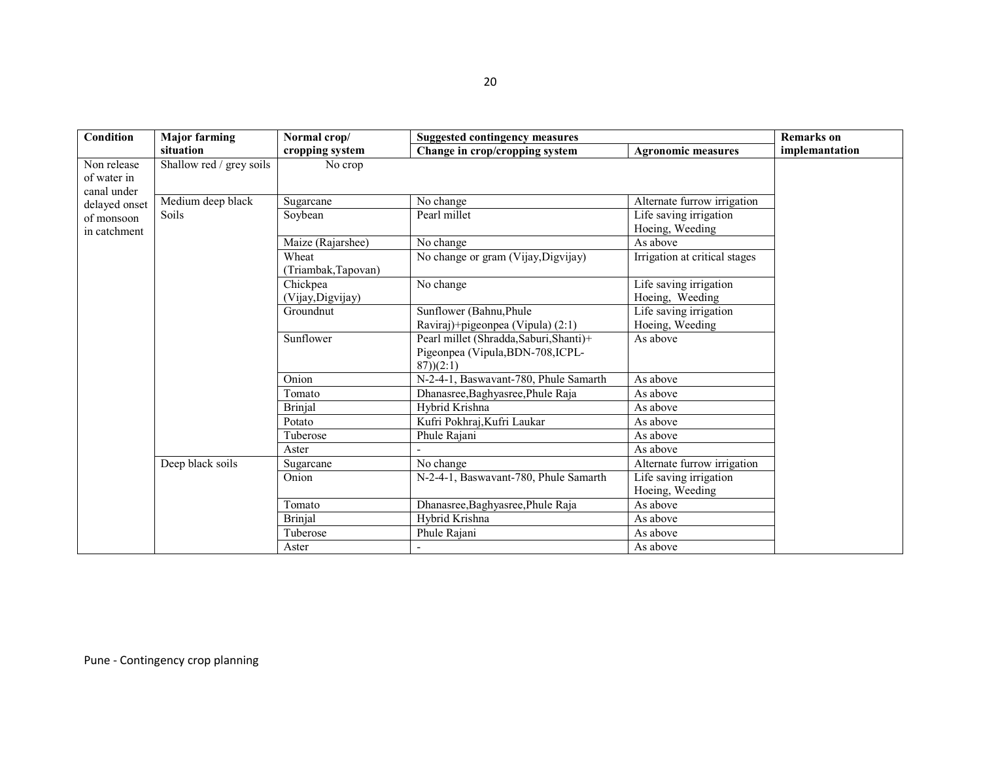| Condition                                 | <b>Major farming</b>     | Normal crop/                  | <b>Suggested contingency measures</b>                                                     |                                           | <b>Remarks</b> on |
|-------------------------------------------|--------------------------|-------------------------------|-------------------------------------------------------------------------------------------|-------------------------------------------|-------------------|
|                                           | situation                | cropping system               | Change in crop/cropping system                                                            | <b>Agronomic measures</b>                 | implemantation    |
| Non release<br>of water in<br>canal under | Shallow red / grey soils | No crop                       |                                                                                           |                                           |                   |
| delayed onset                             | Medium deep black        | Sugarcane                     | No change                                                                                 | Alternate furrow irrigation               |                   |
| of monsoon<br>in catchment                | Soils                    | Soybean                       | Pearl millet                                                                              | Life saving irrigation<br>Hoeing, Weeding |                   |
|                                           |                          | Maize (Rajarshee)             | No change                                                                                 | As above                                  |                   |
|                                           |                          | Wheat<br>(Triambak, Tapovan)  | No change or gram (Vijay, Digvijay)                                                       | Irrigation at critical stages             |                   |
|                                           |                          | Chickpea<br>(Vijay, Digvijay) | No change                                                                                 | Life saving irrigation<br>Hoeing, Weeding |                   |
|                                           |                          | Groundnut                     | Sunflower (Bahnu, Phule                                                                   | Life saving irrigation                    |                   |
|                                           |                          |                               | Raviraj)+pigeonpea (Vipula) (2:1)                                                         | Hoeing, Weeding                           |                   |
|                                           |                          | Sunflower                     | Pearl millet (Shradda, Saburi, Shanti)+<br>Pigeonpea (Vipula, BDN-708, ICPL-<br>(87)(2:1) | As above                                  |                   |
|                                           |                          | Onion                         | N-2-4-1, Baswavant-780, Phule Samarth                                                     | As above                                  |                   |
|                                           |                          | Tomato                        | Dhanasree, Baghyasree, Phule Raja                                                         | As above                                  |                   |
|                                           |                          | <b>Brinjal</b>                | Hybrid Krishna                                                                            | As above                                  |                   |
|                                           |                          | Potato                        | Kufri Pokhraj, Kufri Laukar                                                               | As above                                  |                   |
|                                           |                          | Tuberose                      | Phule Rajani                                                                              | As above                                  |                   |
|                                           |                          | Aster                         |                                                                                           | As above                                  |                   |
|                                           | Deep black soils         | Sugarcane                     | No change                                                                                 | Alternate furrow irrigation               |                   |
|                                           |                          | Onion                         | N-2-4-1, Baswavant-780, Phule Samarth                                                     | Life saving irrigation<br>Hoeing, Weeding |                   |
|                                           |                          | Tomato                        | Dhanasree, Baghyasree, Phule Raja                                                         | As above                                  |                   |
|                                           |                          | <b>Brinjal</b>                | Hybrid Krishna                                                                            | As above                                  |                   |
|                                           |                          | Tuberose                      | Phule Rajani                                                                              | As above                                  |                   |
|                                           |                          | Aster                         |                                                                                           | As above                                  |                   |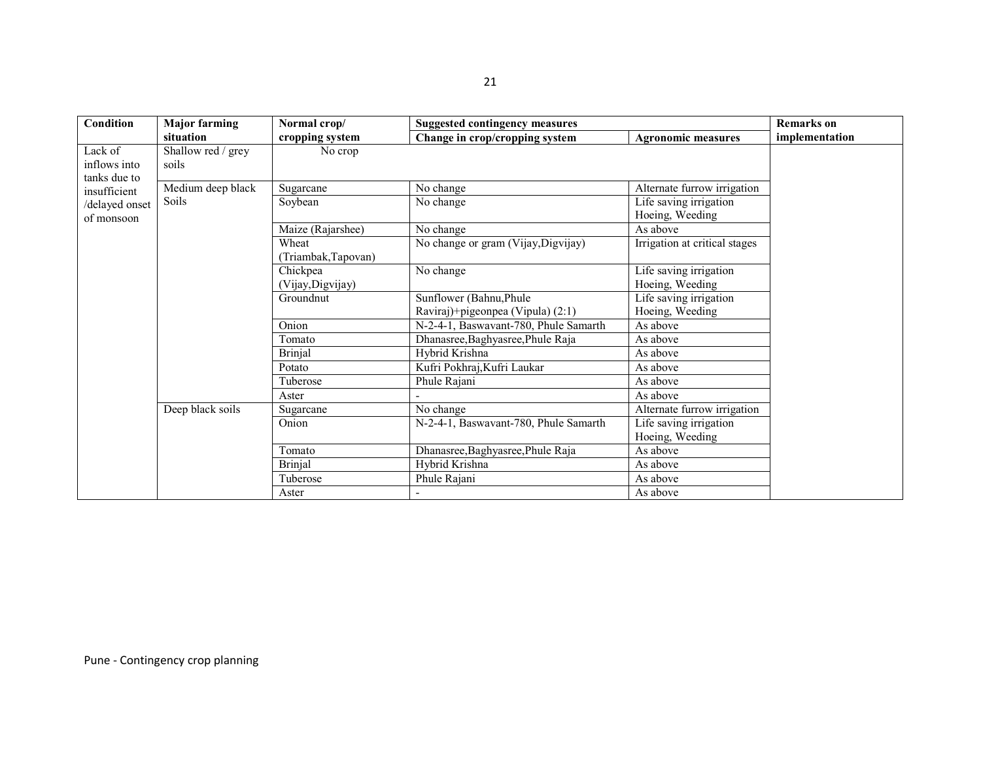| Condition                    | <b>Major farming</b> | Normal crop/                 | <b>Suggested contingency measures</b> |                                           | <b>Remarks</b> on |
|------------------------------|----------------------|------------------------------|---------------------------------------|-------------------------------------------|-------------------|
|                              | situation            | cropping system              | Change in crop/cropping system        | <b>Agronomic measures</b>                 | implementation    |
| Lack of                      | Shallow red / grey   | No crop                      |                                       |                                           |                   |
| inflows into                 | soils                |                              |                                       |                                           |                   |
| tanks due to<br>insufficient | Medium deep black    | Sugarcane                    | No change                             | Alternate furrow irrigation               |                   |
| /delayed onset<br>of monsoon | Soils                | Soybean                      | No change                             | Life saving irrigation<br>Hoeing, Weeding |                   |
|                              |                      | Maize (Rajarshee)            | No change                             | As above                                  |                   |
|                              |                      | Wheat<br>(Triambak, Tapovan) | No change or gram (Vijay, Digvijay)   | Irrigation at critical stages             |                   |
|                              |                      | Chickpea                     | No change                             | Life saving irrigation                    |                   |
|                              |                      | (Vijay, Digvijay)            |                                       | Hoeing, Weeding                           |                   |
|                              |                      | Groundnut                    | Sunflower (Bahnu, Phule               | Life saving irrigation                    |                   |
|                              |                      |                              | Raviraj)+pigeonpea (Vipula) (2:1)     | Hoeing, Weeding                           |                   |
|                              |                      | Onion                        | N-2-4-1, Baswavant-780, Phule Samarth | As above                                  |                   |
|                              |                      | Tomato                       | Dhanasree, Baghyasree, Phule Raja     | As above                                  |                   |
|                              |                      | <b>Brinjal</b>               | Hybrid Krishna                        | As above                                  |                   |
|                              |                      | Potato                       | Kufri Pokhraj, Kufri Laukar           | As above                                  |                   |
|                              |                      | Tuberose                     | Phule Rajani                          | As above                                  |                   |
|                              |                      | Aster                        |                                       | As above                                  |                   |
|                              | Deep black soils     | Sugarcane                    | No change                             | Alternate furrow irrigation               |                   |
|                              |                      | Onion                        | N-2-4-1, Baswavant-780, Phule Samarth | Life saving irrigation                    |                   |
|                              |                      |                              |                                       | Hoeing, Weeding                           |                   |
|                              |                      | Tomato                       | Dhanasree, Baghyasree, Phule Raja     | As above                                  |                   |
|                              |                      | <b>Brinjal</b>               | Hybrid Krishna                        | As above                                  |                   |
|                              |                      | Tuberose                     | Phule Rajani                          | As above                                  |                   |
|                              |                      | Aster                        |                                       | As above                                  |                   |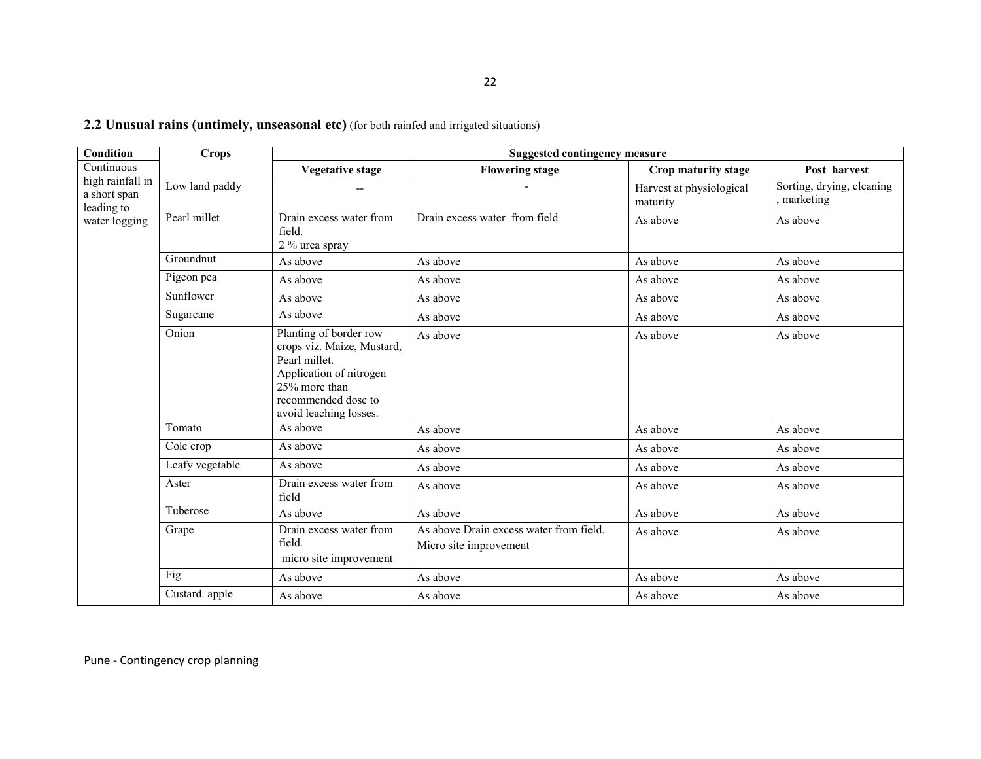| Condition                                      | <b>Crops</b>    | <b>Suggested contingency measure</b>                                                                                                                               |                                                                   |                                      |                                        |  |
|------------------------------------------------|-----------------|--------------------------------------------------------------------------------------------------------------------------------------------------------------------|-------------------------------------------------------------------|--------------------------------------|----------------------------------------|--|
| Continuous                                     |                 | <b>Vegetative stage</b>                                                                                                                                            | <b>Flowering stage</b>                                            | Crop maturity stage                  | Post harvest                           |  |
| high rainfall in<br>a short span<br>leading to | Low land paddy  |                                                                                                                                                                    |                                                                   | Harvest at physiological<br>maturity | Sorting, drying, cleaning<br>marketing |  |
| water logging                                  | Pearl millet    | Drain excess water from<br>field.<br>2 % urea spray                                                                                                                | Drain excess water from field                                     | As above                             | As above                               |  |
|                                                | Groundnut       | As above                                                                                                                                                           | As above                                                          | As above                             | As above                               |  |
|                                                | Pigeon pea      | As above                                                                                                                                                           | As above                                                          | As above                             | As above                               |  |
|                                                | Sunflower       | As above                                                                                                                                                           | As above                                                          | As above                             | As above                               |  |
|                                                | Sugarcane       | As above                                                                                                                                                           | As above                                                          | As above                             | As above                               |  |
|                                                | Onion           | Planting of border row<br>crops viz. Maize, Mustard,<br>Pearl millet.<br>Application of nitrogen<br>25% more than<br>recommended dose to<br>avoid leaching losses. | As above                                                          | As above                             | As above                               |  |
|                                                | Tomato          | As above                                                                                                                                                           | As above                                                          | As above                             | As above                               |  |
|                                                | Cole crop       | As above                                                                                                                                                           | As above                                                          | As above                             | As above                               |  |
|                                                | Leafy vegetable | As above                                                                                                                                                           | As above                                                          | As above                             | As above                               |  |
|                                                | Aster           | Drain excess water from<br>field                                                                                                                                   | As above                                                          | As above                             | As above                               |  |
|                                                | Tuberose        | As above                                                                                                                                                           | As above                                                          | As above                             | As above                               |  |
|                                                | Grape           | Drain excess water from<br>field.<br>micro site improvement                                                                                                        | As above Drain excess water from field.<br>Micro site improvement | As above                             | As above                               |  |
|                                                | Fig             | As above                                                                                                                                                           | As above                                                          | As above                             | As above                               |  |
|                                                | Custard. apple  | As above                                                                                                                                                           | As above                                                          | As above                             | As above                               |  |

#### **2.2 Unusual rains (untimely, unseasonal etc)** (for both rainfed and irrigated situations)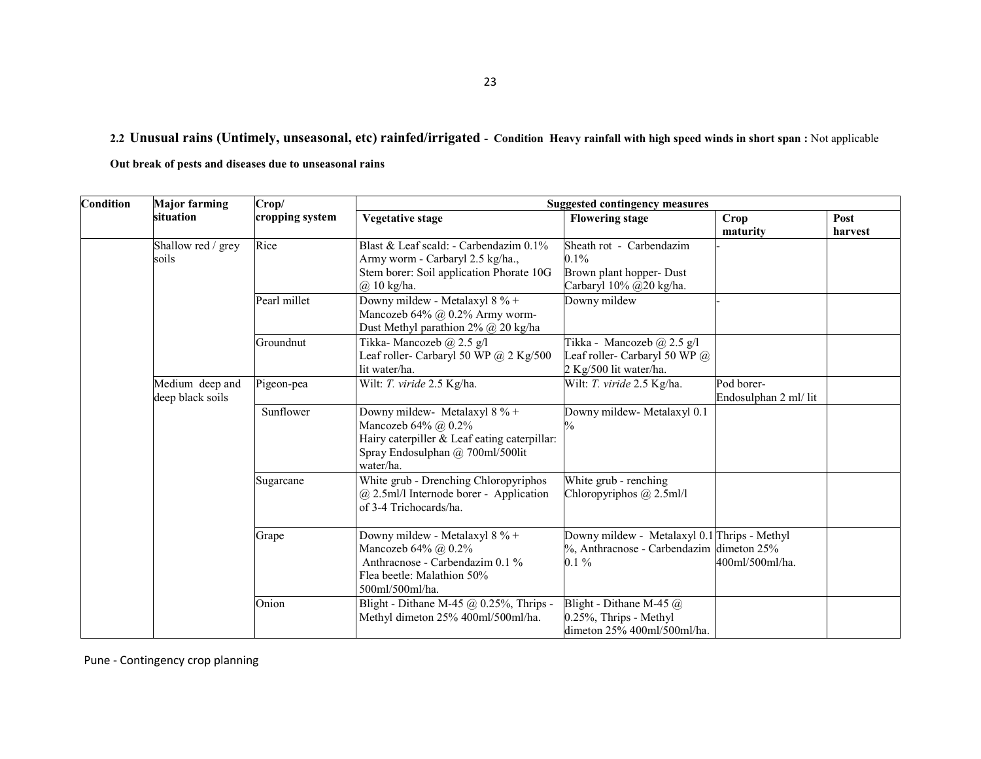2.2 Unusual rains (Untimely, unseasonal, etc) rainfed/irrigated - Condition Heavy rainfall with high speed winds in short span : Not applicable

Out break of pests and diseases due to unseasonal rains

| <b>Condition</b> | <b>Major farming</b>                | Crop/           | <b>Suggested contingency measures</b>                                                                                                                 |                                                                                                     |                                     |                 |  |
|------------------|-------------------------------------|-----------------|-------------------------------------------------------------------------------------------------------------------------------------------------------|-----------------------------------------------------------------------------------------------------|-------------------------------------|-----------------|--|
|                  | situation                           | cropping system | Vegetative stage                                                                                                                                      | <b>Flowering stage</b>                                                                              | Crop<br>maturity                    | Post<br>harvest |  |
|                  | Shallow red / grey<br>soils         | Rice            | Blast & Leaf scald: - Carbendazim 0.1%<br>Army worm - Carbaryl 2.5 kg/ha.,<br>Stem borer: Soil application Phorate 10G<br>$(a)$ 10 kg/ha.             | Sheath rot - Carbendazim<br>0.1%<br>Brown plant hopper- Dust<br>Carbaryl 10% @20 kg/ha.             |                                     |                 |  |
|                  |                                     | Pearl millet    | Downy mildew - Metalaxyl $8\%$ +<br>Mancozeb 64% @ 0.2% Army worm-<br>Dust Methyl parathion 2% @ 20 kg/ha                                             | Downy mildew                                                                                        |                                     |                 |  |
|                  |                                     | Groundnut       | Tikka-Mancozeb @ 2.5 g/l<br>Leaf roller- Carbaryl 50 WP $(a)$ 2 Kg/500<br>lit water/ha.                                                               | Tikka - Mancozeb $(a)$ 2.5 g/l<br>Leaf roller- Carbaryl 50 WP @<br>2 Kg/500 lit water/ha.           |                                     |                 |  |
|                  | Medium deep and<br>deep black soils | Pigeon-pea      | Wilt: T. viride 2.5 Kg/ha.                                                                                                                            | Wilt: T. viride 2.5 Kg/ha.                                                                          | Pod borer-<br>Endosulphan 2 ml/ lit |                 |  |
|                  |                                     | Sunflower       | Downy mildew- Metalaxyl 8 % +<br>Mancozeb 64% @ 0.2%<br>Hairy caterpiller & Leaf eating caterpillar:<br>Spray Endosulphan @ 700ml/500lit<br>water/ha. | Downy mildew- Metalaxyl 0.1                                                                         |                                     |                 |  |
|                  |                                     | Sugarcane       | White grub - Drenching Chloropyriphos<br>$@$ 2.5ml/l Internode borer - Application<br>of 3-4 Trichocards/ha.                                          | White grub - renching<br>Chloropyriphos @ 2.5ml/l                                                   |                                     |                 |  |
|                  |                                     | Grape           | Downy mildew - Metalaxyl 8 % +<br>Mancozeb 64% @ 0.2%<br>Anthracnose - Carbendazim 0.1 %<br>Flea beetle: Malathion 50%<br>500ml/500ml/ha.             | Downy mildew - Metalaxyl 0.1 Thrips - Methyl<br>%, Anthracnose - Carbendazim dimeton 25%<br>$0.1\%$ | 400ml/500ml/ha.                     |                 |  |
|                  |                                     | Onion           | Blight - Dithane M-45 $@$ 0.25%, Thrips -<br>Methyl dimeton 25% 400ml/500ml/ha.                                                                       | Blight - Dithane M-45 $@$<br>0.25%, Thrips - Methyl<br>dimeton 25% 400ml/500ml/ha.                  |                                     |                 |  |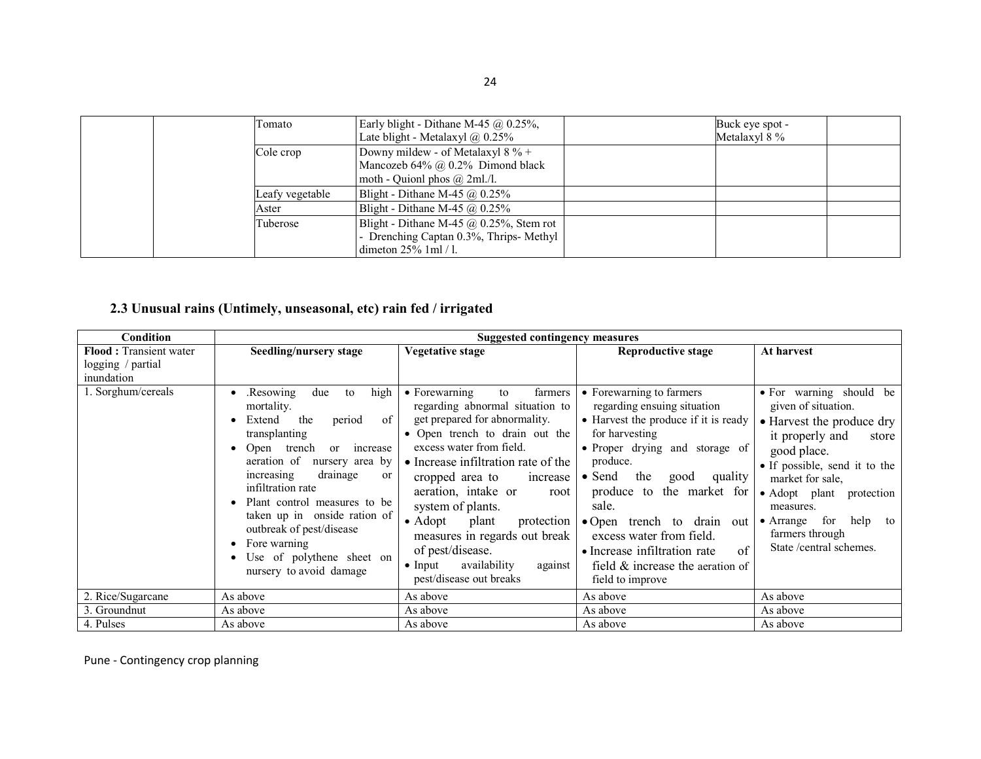| Tomato          | Early blight - Dithane M-45 $\omega$ 0.25%,<br>Late blight - Metalaxyl $\omega$ , 0.25% | Buck eye spot -<br>Metalaxyl 8 % |
|-----------------|-----------------------------------------------------------------------------------------|----------------------------------|
| Cole crop       | Downy mildew - of Metalaxyl $8\%$ +                                                     |                                  |
|                 | Mancozeb $64\%$ $\omega$ 0.2% Dimond black<br>moth - Quionl phos $\omega$ 2ml./l.       |                                  |
| Leafy vegetable | Blight - Dithane M-45 $@$ 0.25%                                                         |                                  |
| Aster           | Blight - Dithane M-45 $\omega$ 0.25%                                                    |                                  |
| Tuberose        | Blight - Dithane M-45 $\omega$ 0.25%, Stem rot                                          |                                  |
|                 | - Drenching Captan 0.3%, Thrips-Methyl                                                  |                                  |
|                 | dimeton $25\%$ 1 ml $/$ l.                                                              |                                  |

# 2.3 Unusual rains (Untimely, unseasonal, etc) rain fed / irrigated

| Condition                                                   | <b>Suggested contingency measures</b>                                                                                                                                                                                                                                                                                                                                                                            |                                                                                                                                                                                                                                                                                                                                                                                                                                                                            |                                                                                                                                                                                                                                                                                                                                                                                                              |                                                                                                                                                                                                                                                                                                        |  |
|-------------------------------------------------------------|------------------------------------------------------------------------------------------------------------------------------------------------------------------------------------------------------------------------------------------------------------------------------------------------------------------------------------------------------------------------------------------------------------------|----------------------------------------------------------------------------------------------------------------------------------------------------------------------------------------------------------------------------------------------------------------------------------------------------------------------------------------------------------------------------------------------------------------------------------------------------------------------------|--------------------------------------------------------------------------------------------------------------------------------------------------------------------------------------------------------------------------------------------------------------------------------------------------------------------------------------------------------------------------------------------------------------|--------------------------------------------------------------------------------------------------------------------------------------------------------------------------------------------------------------------------------------------------------------------------------------------------------|--|
| Flood: Transient water<br>logging / $partial$<br>inundation | Seedling/nursery stage                                                                                                                                                                                                                                                                                                                                                                                           | <b>Vegetative stage</b>                                                                                                                                                                                                                                                                                                                                                                                                                                                    | <b>Reproductive stage</b>                                                                                                                                                                                                                                                                                                                                                                                    | At harvest                                                                                                                                                                                                                                                                                             |  |
| 1. Sorghum/cereals                                          | high<br>due<br>.Resowing<br>to<br>mortality.<br>Extend<br>the<br>of<br>period<br>transplanting<br>Open trench<br>increase<br><sub>or</sub><br>aeration of<br>nursery area by<br>drainage<br>increasing<br><sub>or</sub><br>infiltration rate<br>Plant control measures to be<br>taken up in onside ration of<br>outbreak of pest/disease<br>Fore warning<br>Use of polythene sheet on<br>nursery to avoid damage | $\bullet$ Forewarning<br>to<br>farmers<br>regarding abnormal situation to<br>get prepared for abnormality.<br>• Open trench to drain out the<br>excess water from field.<br>• Increase infiltration rate of the<br>cropped area to<br>increase<br>aeration, intake or<br>root<br>system of plants.<br>$\bullet$ Adopt<br>plant<br>protection<br>measures in regards out break<br>of pest/disease.<br>availability<br>$\bullet$ Input<br>against<br>pest/disease out breaks | • Forewarning to farmers<br>regarding ensuing situation<br>• Harvest the produce if it is ready<br>for harvesting<br>• Proper drying and storage of<br>produce.<br>$\bullet$ Send<br>the<br>quality<br>good<br>produce to the market for<br>sale.<br>• Open trench to drain out<br>excess water from field.<br>• Increase infiltration rate<br>of<br>field $\&$ increase the aeration of<br>field to improve | • For warning should be<br>given of situation.<br>• Harvest the produce dry<br>it properly and<br>store<br>good place.<br>• If possible, send it to the<br>market for sale,<br>• Adopt plant protection<br>measures.<br>$\bullet$ Arrange for<br>help to<br>farmers through<br>State /central schemes. |  |
| 2. Rice/Sugarcane                                           | As above                                                                                                                                                                                                                                                                                                                                                                                                         | As above                                                                                                                                                                                                                                                                                                                                                                                                                                                                   | As above                                                                                                                                                                                                                                                                                                                                                                                                     | As above                                                                                                                                                                                                                                                                                               |  |
| 3. Groundnut                                                | As above                                                                                                                                                                                                                                                                                                                                                                                                         | As above                                                                                                                                                                                                                                                                                                                                                                                                                                                                   | As above                                                                                                                                                                                                                                                                                                                                                                                                     | As above                                                                                                                                                                                                                                                                                               |  |
| 4. Pulses                                                   | As above                                                                                                                                                                                                                                                                                                                                                                                                         | As above                                                                                                                                                                                                                                                                                                                                                                                                                                                                   | As above                                                                                                                                                                                                                                                                                                                                                                                                     | As above                                                                                                                                                                                                                                                                                               |  |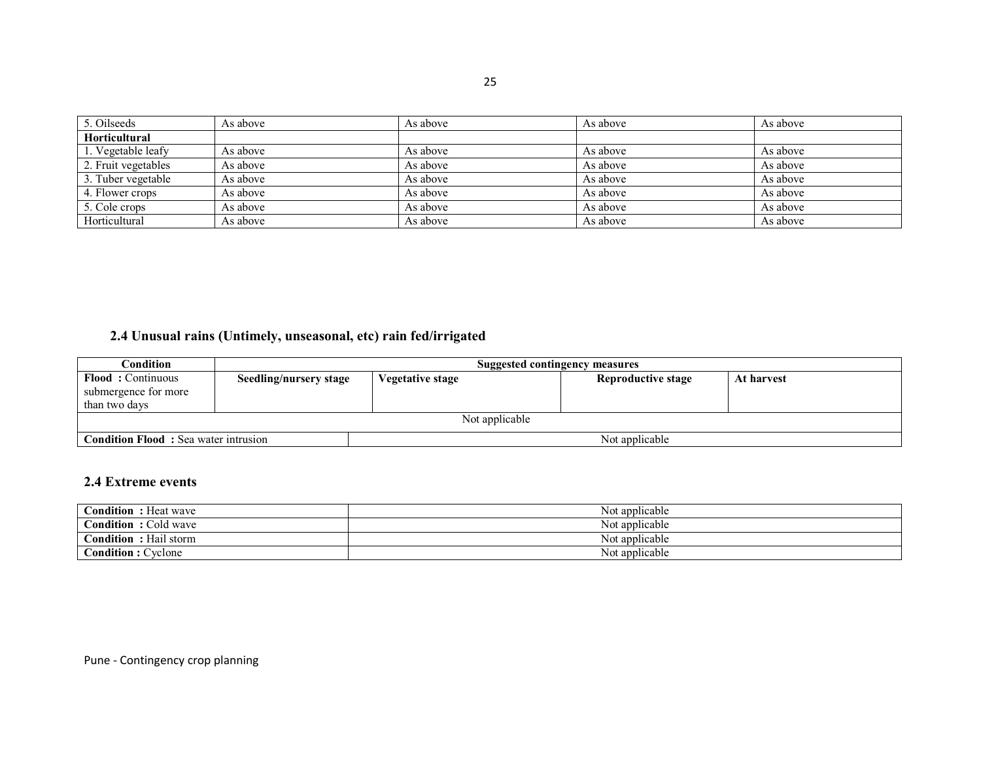| 5. Oilseeds          | As above | As above | As above | As above |
|----------------------|----------|----------|----------|----------|
| <b>Horticultural</b> |          |          |          |          |
| 1. Vegetable leafy   | As above | As above | As above | As above |
| 2. Fruit vegetables  | As above | As above | As above | As above |
| 3. Tuber vegetable   | As above | As above | As above | As above |
| 4. Flower crops      | As above | As above | As above | As above |
| 5. Cole crops        | As above | As above | As above | As above |
| Horticultural        | As above | As above | As above | As above |

# 2.4 Unusual rains (Untimely, unseasonal, etc) rain fed/irrigated

| Condition                                                     | Suggested contingency measures |                  |                    |            |
|---------------------------------------------------------------|--------------------------------|------------------|--------------------|------------|
| <b>Flood:</b> Continuous                                      | Seedling/nursery stage         | Vegetative stage | Reproductive stage | At harvest |
| submergence for more                                          |                                |                  |                    |            |
| than two days                                                 |                                |                  |                    |            |
| Not applicable                                                |                                |                  |                    |            |
| <b>Condition Flood:</b> Sea water intrusion<br>Not applicable |                                |                  |                    |            |

#### 2.4 Extreme events

| <b>Condition</b><br>Heat wave | Not applicable |
|-------------------------------|----------------|
| ondition'<br>: Cold wave      | Not applicable |
| Condition<br>: Hail storm     | Not applicable |
| Condition: Cyclone            | Not applicable |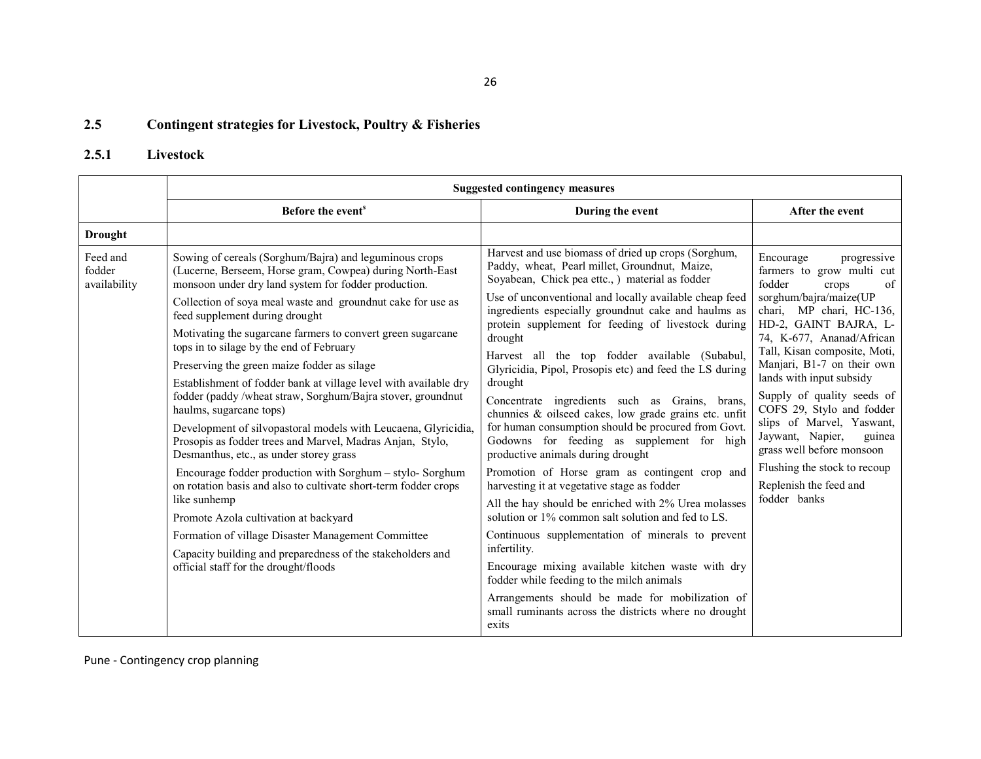#### 2.5Contingent strategies for Livestock, Poultry & Fisheries

### 2.5.1 Livestock

|                                    | <b>Suggested contingency measures</b>                                                                                                                                      |                                                                                                                                                                                                                                                                                                                                                                                                                                                                                                                                     |                                                                                                                                                                                                                                                       |
|------------------------------------|----------------------------------------------------------------------------------------------------------------------------------------------------------------------------|-------------------------------------------------------------------------------------------------------------------------------------------------------------------------------------------------------------------------------------------------------------------------------------------------------------------------------------------------------------------------------------------------------------------------------------------------------------------------------------------------------------------------------------|-------------------------------------------------------------------------------------------------------------------------------------------------------------------------------------------------------------------------------------------------------|
|                                    | Before the event <sup>s</sup>                                                                                                                                              | During the event                                                                                                                                                                                                                                                                                                                                                                                                                                                                                                                    | After the event                                                                                                                                                                                                                                       |
| <b>Drought</b>                     |                                                                                                                                                                            |                                                                                                                                                                                                                                                                                                                                                                                                                                                                                                                                     |                                                                                                                                                                                                                                                       |
| Feed and<br>fodder<br>availability | Sowing of cereals (Sorghum/Bajra) and leguminous crops<br>(Lucerne, Berseem, Horse gram, Cowpea) during North-East<br>monsoon under dry land system for fodder production. | Harvest and use biomass of dried up crops (Sorghum,<br>Paddy, wheat, Pearl millet, Groundnut, Maize,<br>Soyabean, Chick pea ettc., ) material as fodder                                                                                                                                                                                                                                                                                                                                                                             | Encourage<br>progressive<br>farmers to grow multi cut<br>fodder<br>of<br>crops                                                                                                                                                                        |
|                                    | Collection of soya meal waste and groundnut cake for use as<br>feed supplement during drought                                                                              | Use of unconventional and locally available cheap feed<br>ingredients especially groundnut cake and haulms as                                                                                                                                                                                                                                                                                                                                                                                                                       | sorghum/bajra/maize(UP<br>chari, MP chari, HC-136,                                                                                                                                                                                                    |
|                                    | Motivating the sugarcane farmers to convert green sugarcane<br>tops in to silage by the end of February                                                                    | protein supplement for feeding of livestock during<br>drought                                                                                                                                                                                                                                                                                                                                                                                                                                                                       | HD-2, GAINT BAJRA, L-<br>74, K-677, Ananad/African<br>Tall, Kisan composite, Moti,                                                                                                                                                                    |
|                                    | Preserving the green maize fodder as silage                                                                                                                                | Harvest all the top fodder available (Subabul,<br>Glyricidia, Pipol, Prosopis etc) and feed the LS during                                                                                                                                                                                                                                                                                                                                                                                                                           | Manjari, B1-7 on their own                                                                                                                                                                                                                            |
|                                    | Establishment of fodder bank at village level with available dry<br>fodder (paddy/wheat straw, Sorghum/Bajra stover, groundnut<br>haulms, sugarcane tops)                  | drought<br>Concentrate ingredients such as Grains, brans,<br>chunnies & oilseed cakes, low grade grains etc. unfit<br>for human consumption should be procured from Govt.<br>Godowns for feeding as supplement for<br>high<br>productive animals during drought<br>Promotion of Horse gram as contingent crop and<br>harvesting it at vegetative stage as fodder<br>All the hay should be enriched with 2% Urea molasses<br>solution or 1% common salt solution and fed to LS.<br>Continuous supplementation of minerals to prevent | lands with input subsidy<br>Supply of quality seeds of<br>COFS 29, Stylo and fodder<br>slips of Marvel, Yaswant,<br>Jaywant, Napier,<br>guinea<br>grass well before monsoon<br>Flushing the stock to recoup<br>Replenish the feed and<br>fodder banks |
|                                    | Development of silvopastoral models with Leucaena, Glyricidia,<br>Prosopis as fodder trees and Marvel, Madras Anjan, Stylo,<br>Desmanthus, etc., as under storey grass     |                                                                                                                                                                                                                                                                                                                                                                                                                                                                                                                                     |                                                                                                                                                                                                                                                       |
|                                    | Encourage fodder production with Sorghum – stylo-Sorghum<br>on rotation basis and also to cultivate short-term fodder crops                                                |                                                                                                                                                                                                                                                                                                                                                                                                                                                                                                                                     |                                                                                                                                                                                                                                                       |
|                                    | like sunhemp<br>Promote Azola cultivation at backyard                                                                                                                      |                                                                                                                                                                                                                                                                                                                                                                                                                                                                                                                                     |                                                                                                                                                                                                                                                       |
|                                    | Formation of village Disaster Management Committee                                                                                                                         |                                                                                                                                                                                                                                                                                                                                                                                                                                                                                                                                     |                                                                                                                                                                                                                                                       |
|                                    | Capacity building and preparedness of the stakeholders and<br>official staff for the drought/floods                                                                        | infertility.<br>Encourage mixing available kitchen waste with dry                                                                                                                                                                                                                                                                                                                                                                                                                                                                   |                                                                                                                                                                                                                                                       |
|                                    |                                                                                                                                                                            | fodder while feeding to the milch animals                                                                                                                                                                                                                                                                                                                                                                                                                                                                                           |                                                                                                                                                                                                                                                       |
|                                    |                                                                                                                                                                            | Arrangements should be made for mobilization of<br>small ruminants across the districts where no drought<br>exits                                                                                                                                                                                                                                                                                                                                                                                                                   |                                                                                                                                                                                                                                                       |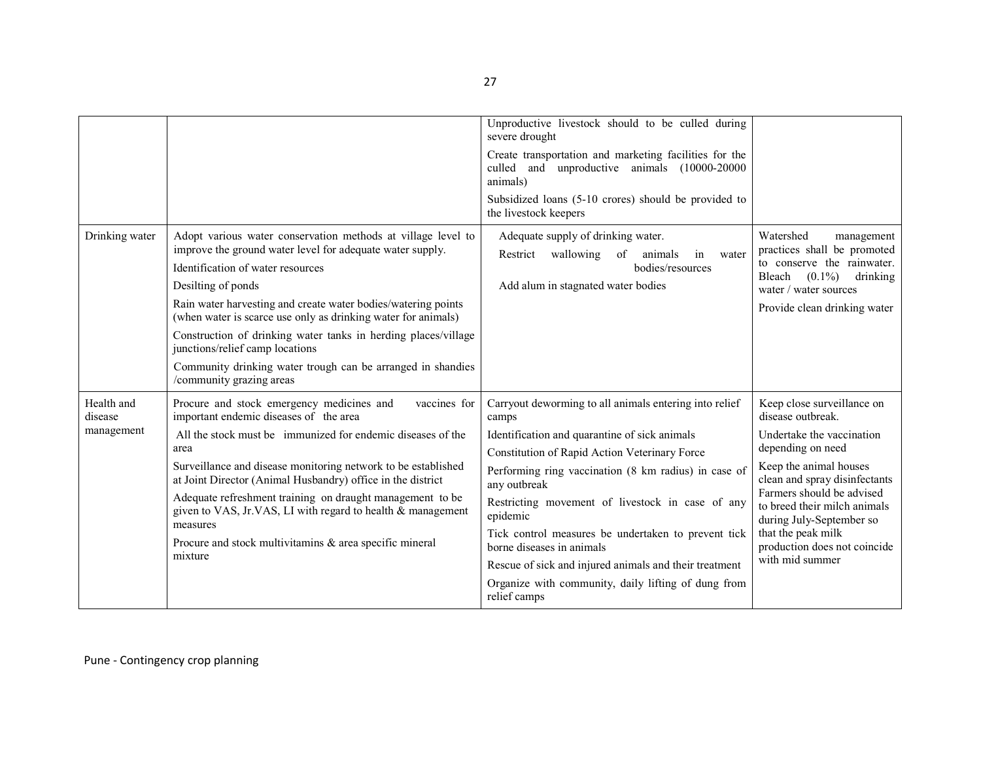|                                     |                                                                                                                                                                                                                                                                                                                                                                                                                                                                                                                          | Unproductive livestock should to be culled during<br>severe drought<br>Create transportation and marketing facilities for the<br>unproductive animals (10000-20000<br>culled and<br>animals)<br>Subsidized loans (5-10 crores) should be provided to<br>the livestock keepers                                                                                                                                                                                                                                                  |                                                                                                                                                                                                                                                                                                                                |
|-------------------------------------|--------------------------------------------------------------------------------------------------------------------------------------------------------------------------------------------------------------------------------------------------------------------------------------------------------------------------------------------------------------------------------------------------------------------------------------------------------------------------------------------------------------------------|--------------------------------------------------------------------------------------------------------------------------------------------------------------------------------------------------------------------------------------------------------------------------------------------------------------------------------------------------------------------------------------------------------------------------------------------------------------------------------------------------------------------------------|--------------------------------------------------------------------------------------------------------------------------------------------------------------------------------------------------------------------------------------------------------------------------------------------------------------------------------|
| Drinking water                      | Adopt various water conservation methods at village level to<br>improve the ground water level for adequate water supply.<br>Identification of water resources<br>Desilting of ponds<br>Rain water harvesting and create water bodies/watering points<br>(when water is scarce use only as drinking water for animals)<br>Construction of drinking water tanks in herding places/village<br>junctions/relief camp locations<br>Community drinking water trough can be arranged in shandies<br>/community grazing areas   | Adequate supply of drinking water.<br>Restrict wallowing<br>of<br>in<br>animals<br>water<br>bodies/resources<br>Add alum in stagnated water bodies                                                                                                                                                                                                                                                                                                                                                                             | Watershed<br>management<br>practices shall be promoted<br>to conserve the rainwater.<br>Bleach $(0.1\%)$<br>drinking<br>water / water sources<br>Provide clean drinking water                                                                                                                                                  |
| Health and<br>disease<br>management | Procure and stock emergency medicines and<br>vaccines for<br>important endemic diseases of the area<br>All the stock must be immunized for endemic diseases of the<br>area<br>Surveillance and disease monitoring network to be established<br>at Joint Director (Animal Husbandry) office in the district<br>Adequate refreshment training on draught management to be<br>given to VAS, Jr.VAS, LI with regard to health & management<br>measures<br>Procure and stock multivitamins & area specific mineral<br>mixture | Carryout deworming to all animals entering into relief<br>camps<br>Identification and quarantine of sick animals<br>Constitution of Rapid Action Veterinary Force<br>Performing ring vaccination (8 km radius) in case of<br>any outbreak<br>Restricting movement of livestock in case of any<br>epidemic<br>Tick control measures be undertaken to prevent tick<br>borne diseases in animals<br>Rescue of sick and injured animals and their treatment<br>Organize with community, daily lifting of dung from<br>relief camps | Keep close surveillance on<br>disease outbreak.<br>Undertake the vaccination<br>depending on need<br>Keep the animal houses<br>clean and spray disinfectants<br>Farmers should be advised<br>to breed their milch animals<br>during July-September so<br>that the peak milk<br>production does not coincide<br>with mid summer |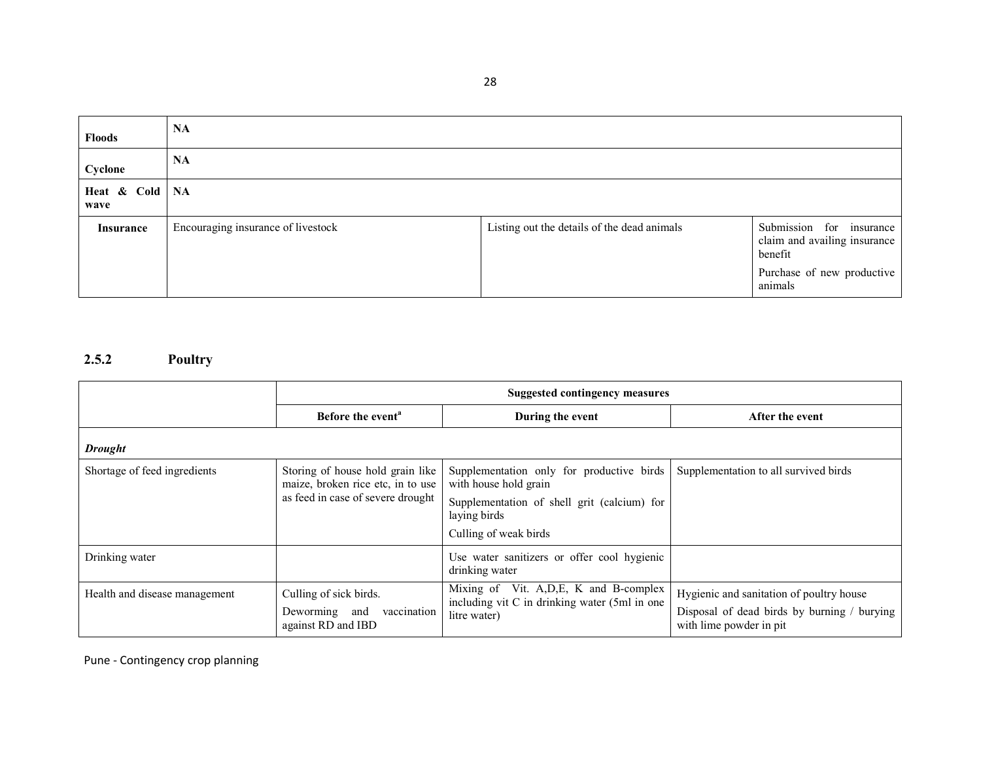Floods NACyclone NAHeat & Cold wave NAInsurance Encouraging insurance of livestock Listing out the details of the dead animals Submission for insurance claim and availing insurance benefit Purchase of new productive animals

#### 2.5.2 Poultry

|                               | <b>Suggested contingency measures</b>                                 |                                                                                           |                                                                        |  |  |
|-------------------------------|-----------------------------------------------------------------------|-------------------------------------------------------------------------------------------|------------------------------------------------------------------------|--|--|
|                               | Before the event <sup>a</sup>                                         | During the event                                                                          | After the event                                                        |  |  |
| <b>Drought</b>                |                                                                       |                                                                                           |                                                                        |  |  |
| Shortage of feed ingredients  | Storing of house hold grain like<br>maize, broken rice etc, in to use | Supplementation only for productive birds<br>with house hold grain                        | Supplementation to all survived birds                                  |  |  |
|                               | as feed in case of severe drought                                     | Supplementation of shell grit (calcium) for<br>laying birds                               |                                                                        |  |  |
|                               |                                                                       | Culling of weak birds                                                                     |                                                                        |  |  |
| Drinking water                |                                                                       | Use water sanitizers or offer cool hygienic<br>drinking water                             |                                                                        |  |  |
| Health and disease management | Culling of sick birds.                                                | Mixing of Vit. A, D, E, K and B-complex<br>including vit C in drinking water (5ml in one) | Hygienic and sanitation of poultry house                               |  |  |
|                               | Deworming and<br>vaccination<br>against RD and IBD                    | litre water)                                                                              | Disposal of dead birds by burning / burying<br>with lime powder in pit |  |  |

Pune - Contingency crop planning

28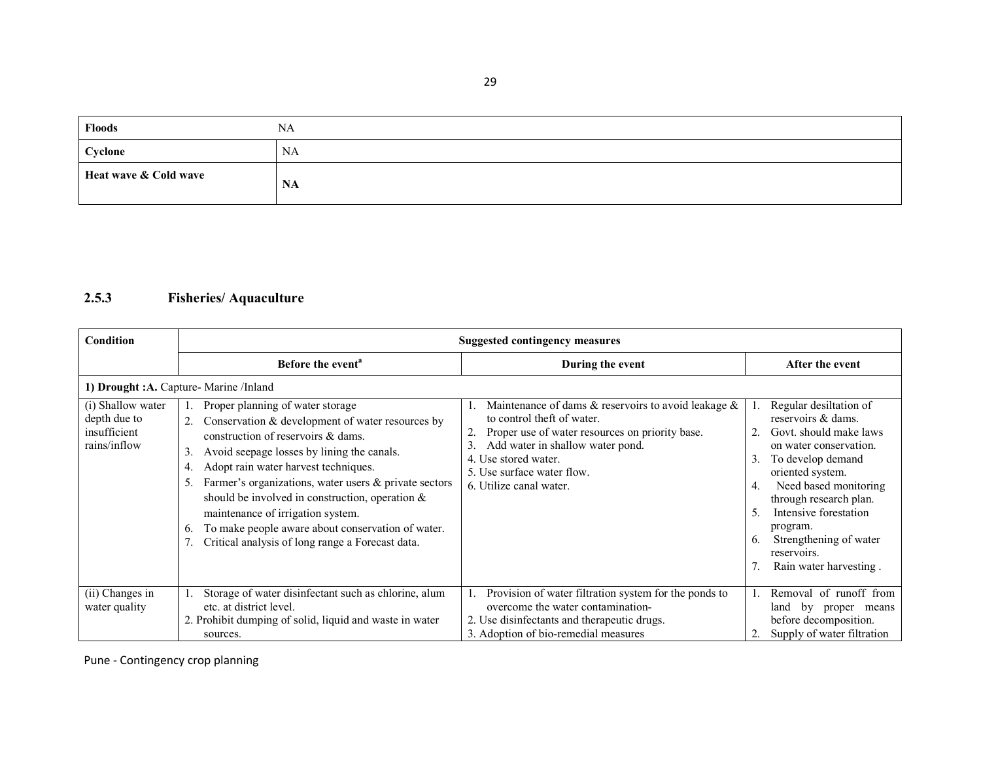| <b>Floods</b>         | <b>NA</b> |
|-----------------------|-----------|
| Cyclone               | NA        |
| Heat wave & Cold wave | <b>NA</b> |

# 2.5.3 Fisheries/ Aquaculture

| Condition                                                         | <b>Suggested contingency measures</b>                                                                                                                                                                                                                                                                                                                                                                                                                                                                          |                                                                                                                                                                                                                                                                 |                                                                                                                                                                                                                                                                                                                                            |
|-------------------------------------------------------------------|----------------------------------------------------------------------------------------------------------------------------------------------------------------------------------------------------------------------------------------------------------------------------------------------------------------------------------------------------------------------------------------------------------------------------------------------------------------------------------------------------------------|-----------------------------------------------------------------------------------------------------------------------------------------------------------------------------------------------------------------------------------------------------------------|--------------------------------------------------------------------------------------------------------------------------------------------------------------------------------------------------------------------------------------------------------------------------------------------------------------------------------------------|
|                                                                   | Before the event <sup>a</sup>                                                                                                                                                                                                                                                                                                                                                                                                                                                                                  | During the event                                                                                                                                                                                                                                                | After the event                                                                                                                                                                                                                                                                                                                            |
|                                                                   | 1) Drought :A. Capture- Marine /Inland                                                                                                                                                                                                                                                                                                                                                                                                                                                                         |                                                                                                                                                                                                                                                                 |                                                                                                                                                                                                                                                                                                                                            |
| (i) Shallow water<br>depth due to<br>insufficient<br>rains/inflow | Proper planning of water storage<br>Conservation & development of water resources by<br>2.<br>construction of reservoirs & dams.<br>Avoid seepage losses by lining the canals.<br>3.<br>Adopt rain water harvest techniques.<br>4.<br>Farmer's organizations, water users $\&$ private sectors<br>5.<br>should be involved in construction, operation $\&$<br>maintenance of irrigation system.<br>To make people aware about conservation of water.<br>6.<br>Critical analysis of long range a Forecast data. | Maintenance of dams $\&$ reservoirs to avoid leakage $\&$<br>to control theft of water.<br>Proper use of water resources on priority base.<br>Add water in shallow water pond.<br>4. Use stored water.<br>5. Use surface water flow.<br>6. Utilize canal water. | Regular desiltation of<br>reservoirs & dams.<br>Govt. should make laws<br>on water conservation.<br>To develop demand<br>3.<br>oriented system.<br>Need based monitoring<br>$\overline{4}$ .<br>through research plan.<br>Intensive forestation<br>5.<br>program.<br>Strengthening of water<br>6.<br>reservoirs.<br>Rain water harvesting. |
| (ii) Changes in<br>water quality                                  | Storage of water disinfectant such as chlorine, alum<br>etc. at district level.<br>2. Prohibit dumping of solid, liquid and waste in water<br>sources.                                                                                                                                                                                                                                                                                                                                                         | Provision of water filtration system for the ponds to<br>overcome the water contamination-<br>2. Use disinfectants and therapeutic drugs.<br>3. Adoption of bio-remedial measures                                                                               | Removal of runoff from<br>$\mathbf{b}$ v<br>land<br>proper<br>means<br>before decomposition.<br>Supply of water filtration                                                                                                                                                                                                                 |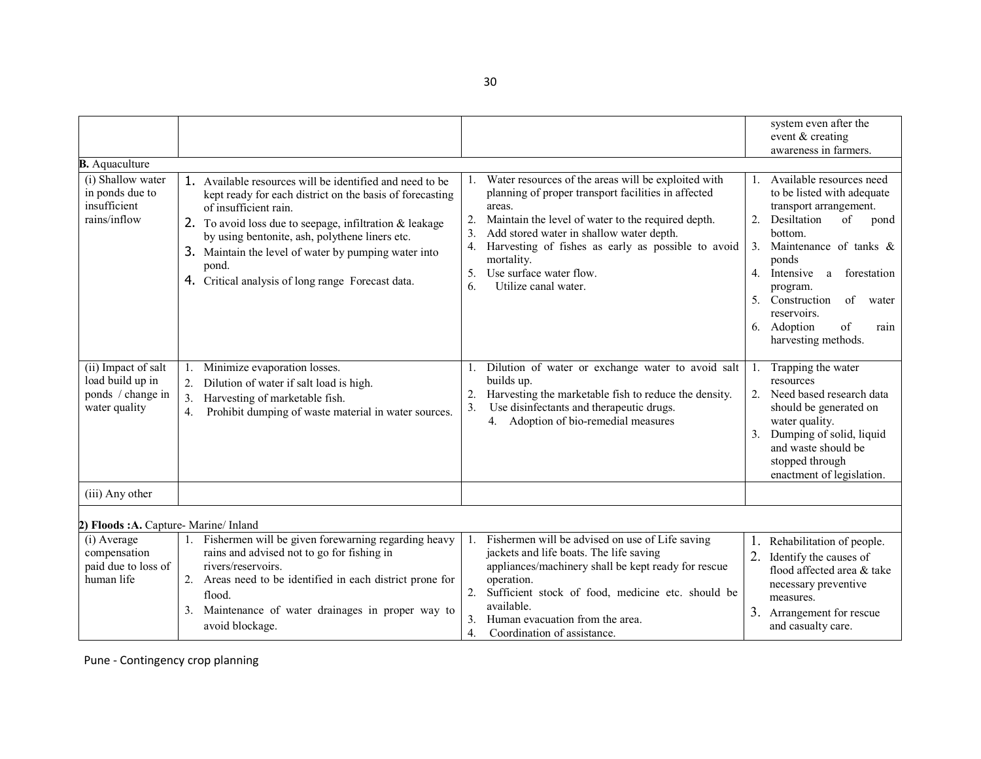|                                                                                                                                                                                                                                                                                                                                                                                                                          | system even after the                                                                                                                                                                                                                                                                                                                                                                                                                                                                                                                                                                                                                                 |
|--------------------------------------------------------------------------------------------------------------------------------------------------------------------------------------------------------------------------------------------------------------------------------------------------------------------------------------------------------------------------------------------------------------------------|-------------------------------------------------------------------------------------------------------------------------------------------------------------------------------------------------------------------------------------------------------------------------------------------------------------------------------------------------------------------------------------------------------------------------------------------------------------------------------------------------------------------------------------------------------------------------------------------------------------------------------------------------------|
|                                                                                                                                                                                                                                                                                                                                                                                                                          |                                                                                                                                                                                                                                                                                                                                                                                                                                                                                                                                                                                                                                                       |
|                                                                                                                                                                                                                                                                                                                                                                                                                          | event $&$ creating<br>awareness in farmers.                                                                                                                                                                                                                                                                                                                                                                                                                                                                                                                                                                                                           |
|                                                                                                                                                                                                                                                                                                                                                                                                                          |                                                                                                                                                                                                                                                                                                                                                                                                                                                                                                                                                                                                                                                       |
| 1. Available resources will be identified and need to be<br>kept ready for each district on the basis of forecasting<br>areas.<br>of insufficient rain.<br>2.<br>2. To avoid loss due to seepage, infiltration & leakage<br>3.<br>by using bentonite, ash, polythene liners etc.<br>4.<br>3. Maintain the level of water by pumping water into<br>pond.<br>5.<br>4. Critical analysis of long range Forecast data.<br>6. | Water resources of the areas will be exploited with<br>Available resources need<br>planning of proper transport facilities in affected<br>to be listed with adequate<br>transport arrangement.<br>Desiltation<br>Maintain the level of water to the required depth.<br>2.<br>of<br>pond<br>Add stored water in shallow water depth.<br>bottom.<br>Harvesting of fishes as early as possible to avoid<br>Maintenance of tanks &<br>3.<br>ponds<br>Use surface water flow.<br>4. Intensive<br>forestation<br>a<br>Utilize canal water.<br>program.<br>5. Construction<br>of<br>water<br>reservoirs.<br>6. Adoption<br>of<br>rain<br>harvesting methods. |
| Minimize evaporation losses.<br>1.<br>2.<br>Dilution of water if salt load is high.<br>Harvesting of marketable fish.<br>3.<br>3.<br>Prohibit dumping of waste material in water sources.<br>4.                                                                                                                                                                                                                          | Trapping the water<br>Dilution of water or exchange water to avoid salt<br>-1<br>resources<br>Harvesting the marketable fish to reduce the density.<br>Need based research data<br>Use disinfectants and therapeutic drugs.<br>should be generated on<br>4. Adoption of bio-remedial measures<br>water quality.<br>Dumping of solid, liquid<br>3.<br>and waste should be<br>stopped through<br>enactment of legislation.                                                                                                                                                                                                                              |
|                                                                                                                                                                                                                                                                                                                                                                                                                          |                                                                                                                                                                                                                                                                                                                                                                                                                                                                                                                                                                                                                                                       |
|                                                                                                                                                                                                                                                                                                                                                                                                                          |                                                                                                                                                                                                                                                                                                                                                                                                                                                                                                                                                                                                                                                       |
| Fishermen will be given forewarning regarding heavy<br>1.<br>rains and advised not to go for fishing in<br>rivers/reservoirs.<br>2.<br>Areas need to be identified in each district prone for<br>2.<br>flood.<br>Maintenance of water drainages in proper way to<br>3.<br>3.                                                                                                                                             | Fishermen will be advised on use of Life saving<br>1.<br>Rehabilitation of people.<br>jackets and life boats. The life saving<br>Identify the causes of<br>appliances/machinery shall be kept ready for rescue<br>flood affected area & take<br>necessary preventive<br>Sufficient stock of food, medicine etc. should be<br>measures.<br>Arrangement for rescue<br>Human evacuation from the area.<br>and casualty care.                                                                                                                                                                                                                             |
| ponds / change in<br>paid due to loss of                                                                                                                                                                                                                                                                                                                                                                                 | mortality.<br>builds up.<br>2) Floods: A. Capture-Marine/ Inland<br>operation.<br>available.<br>avoid blockage.<br>$\overline{4}$ .<br>Coordination of assistance.                                                                                                                                                                                                                                                                                                                                                                                                                                                                                    |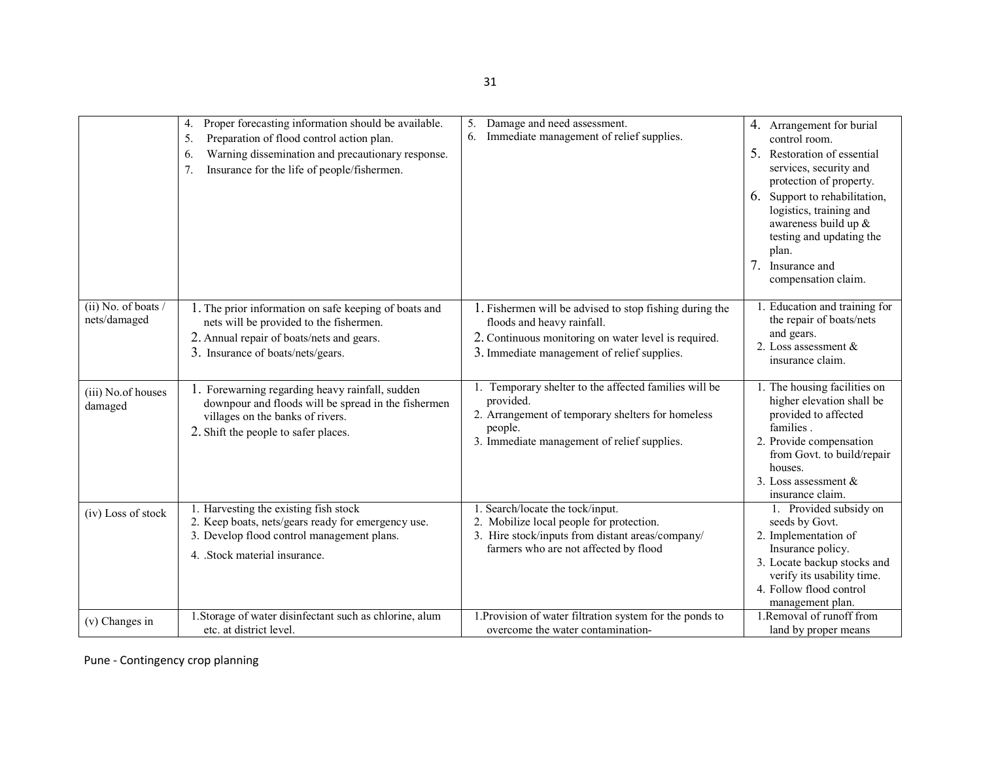|                                       | Proper forecasting information should be available.<br>4.<br>5.<br>Preparation of flood control action plan.<br>Warning dissemination and precautionary response.<br>6.<br>Insurance for the life of people/fishermen.<br>7. | Damage and need assessment.<br>5.<br>Immediate management of relief supplies.<br>6.                                                                                                          | 4. Arrangement for burial<br>control room.<br>5.<br>Restoration of essential<br>services, security and<br>protection of property.<br>6. Support to rehabilitation,<br>logistics, training and<br>awareness build up &<br>testing and updating the<br>plan.<br>7 <sub>1</sub><br>Insurance and<br>compensation claim. |
|---------------------------------------|------------------------------------------------------------------------------------------------------------------------------------------------------------------------------------------------------------------------------|----------------------------------------------------------------------------------------------------------------------------------------------------------------------------------------------|----------------------------------------------------------------------------------------------------------------------------------------------------------------------------------------------------------------------------------------------------------------------------------------------------------------------|
| $(ii)$ No. of boats /<br>nets/damaged | 1. The prior information on safe keeping of boats and<br>nets will be provided to the fishermen.<br>2. Annual repair of boats/nets and gears.<br>3. Insurance of boats/nets/gears.                                           | 1. Fishermen will be advised to stop fishing during the<br>floods and heavy rainfall.<br>2. Continuous monitoring on water level is required.<br>3. Immediate management of relief supplies. | . Education and training for<br>the repair of boats/nets<br>and gears.<br>2. Loss assessment $\&$<br>insurance claim.                                                                                                                                                                                                |
| (iii) No.of houses<br>damaged         | 1. Forewarning regarding heavy rainfall, sudden<br>downpour and floods will be spread in the fishermen<br>villages on the banks of rivers.<br>2. Shift the people to safer places.                                           | 1. Temporary shelter to the affected families will be<br>provided.<br>2. Arrangement of temporary shelters for homeless<br>people.<br>3. Immediate management of relief supplies.            | 1. The housing facilities on<br>higher elevation shall be<br>provided to affected<br>families.<br>2. Provide compensation<br>from Govt. to build/repair<br>houses.<br>3. Loss assessment $&$<br>insurance claim.                                                                                                     |
| (iv) Loss of stock                    | 1. Harvesting the existing fish stock<br>2. Keep boats, nets/gears ready for emergency use.<br>3. Develop flood control management plans.<br>4. Stock material insurance.                                                    | 1. Search/locate the tock/input.<br>2. Mobilize local people for protection.<br>3. Hire stock/inputs from distant areas/company/<br>farmers who are not affected by flood                    | 1. Provided subsidy on<br>seeds by Govt.<br>2. Implementation of<br>Insurance policy.<br>3. Locate backup stocks and<br>verify its usability time.<br>4. Follow flood control<br>management plan.                                                                                                                    |
| (v) Changes in                        | 1. Storage of water disinfectant such as chlorine, alum<br>etc. at district level.                                                                                                                                           | 1. Provision of water filtration system for the ponds to<br>overcome the water contamination-                                                                                                | 1. Removal of runoff from<br>land by proper means                                                                                                                                                                                                                                                                    |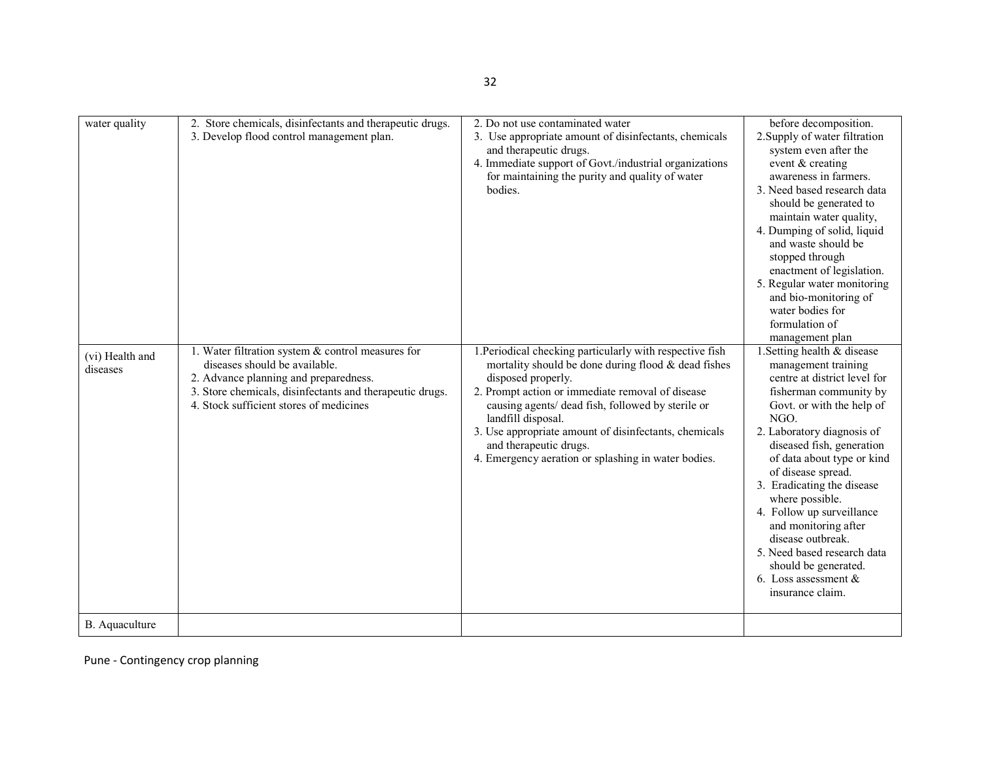| water quality               | 2. Store chemicals, disinfectants and therapeutic drugs.<br>3. Develop flood control management plan.                                                                                                                              | 2. Do not use contaminated water<br>3. Use appropriate amount of disinfectants, chemicals<br>and therapeutic drugs.<br>4. Immediate support of Govt./industrial organizations<br>for maintaining the purity and quality of water<br>bodies.                                                                                                                                                                    | before decomposition.<br>2. Supply of water filtration<br>system even after the<br>event & creating<br>awareness in farmers.<br>3. Need based research data<br>should be generated to<br>maintain water quality,<br>4. Dumping of solid, liquid<br>and waste should be<br>stopped through<br>enactment of legislation.<br>5. Regular water monitoring<br>and bio-monitoring of<br>water bodies for<br>formulation of<br>management plan                                                           |
|-----------------------------|------------------------------------------------------------------------------------------------------------------------------------------------------------------------------------------------------------------------------------|----------------------------------------------------------------------------------------------------------------------------------------------------------------------------------------------------------------------------------------------------------------------------------------------------------------------------------------------------------------------------------------------------------------|---------------------------------------------------------------------------------------------------------------------------------------------------------------------------------------------------------------------------------------------------------------------------------------------------------------------------------------------------------------------------------------------------------------------------------------------------------------------------------------------------|
| (vi) Health and<br>diseases | 1. Water filtration system & control measures for<br>diseases should be available.<br>2. Advance planning and preparedness.<br>3. Store chemicals, disinfectants and therapeutic drugs.<br>4. Stock sufficient stores of medicines | 1. Periodical checking particularly with respective fish<br>mortality should be done during flood & dead fishes<br>disposed properly.<br>2. Prompt action or immediate removal of disease<br>causing agents/ dead fish, followed by sterile or<br>landfill disposal.<br>3. Use appropriate amount of disinfectants, chemicals<br>and therapeutic drugs.<br>4. Emergency aeration or splashing in water bodies. | 1. Setting health & disease<br>management training<br>centre at district level for<br>fisherman community by<br>Govt. or with the help of<br>NGO.<br>2. Laboratory diagnosis of<br>diseased fish, generation<br>of data about type or kind<br>of disease spread.<br>3. Eradicating the disease<br>where possible.<br>4. Follow up surveillance<br>and monitoring after<br>disease outbreak.<br>5. Need based research data<br>should be generated.<br>6. Loss assessment $\&$<br>insurance claim. |
| B. Aquaculture              |                                                                                                                                                                                                                                    |                                                                                                                                                                                                                                                                                                                                                                                                                |                                                                                                                                                                                                                                                                                                                                                                                                                                                                                                   |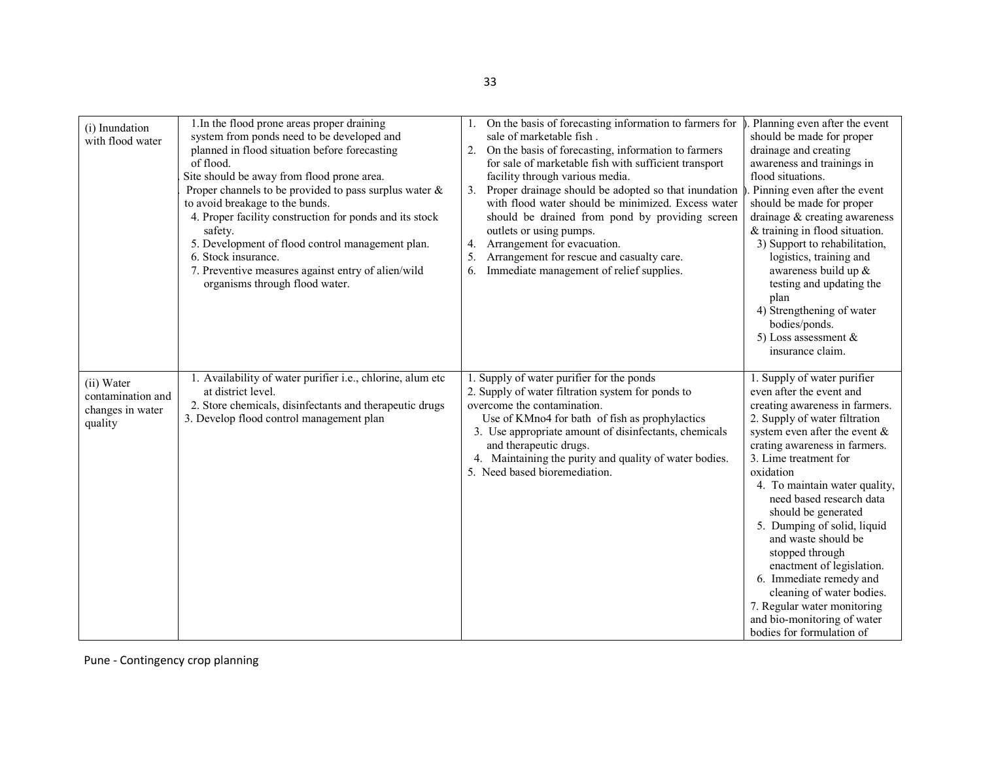| (i) Inundation<br>with flood water                             | 1. In the flood prone areas proper draining<br>system from ponds need to be developed and<br>planned in flood situation before forecasting<br>of flood.<br>Site should be away from flood prone area.<br>Proper channels to be provided to pass surplus water $\&$<br>to avoid breakage to the bunds.<br>4. Proper facility construction for ponds and its stock<br>safety.<br>5. Development of flood control management plan.<br>6. Stock insurance.<br>7. Preventive measures against entry of alien/wild<br>organisms through flood water. | On the basis of forecasting information to farmers for<br>sale of marketable fish.<br>2. On the basis of forecasting, information to farmers<br>for sale of marketable fish with sufficient transport<br>facility through various media.<br>3. Proper drainage should be adopted so that inundation<br>with flood water should be minimized. Excess water<br>should be drained from pond by providing screen<br>outlets or using pumps.<br>Arrangement for evacuation.<br>4.<br>5.<br>Arrangement for rescue and casualty care.<br>Immediate management of relief supplies.<br>6. | . Planning even after the event<br>should be made for proper<br>drainage and creating<br>awareness and trainings in<br>flood situations.<br>. Pinning even after the event<br>should be made for proper<br>drainage $&$ creating awareness<br>& training in flood situation.<br>3) Support to rehabilitation,<br>logistics, training and<br>awareness build up &<br>testing and updating the<br>plan<br>4) Strengthening of water<br>bodies/ponds.<br>5) Loss assessment $\&$<br>insurance claim.                                                                                  |
|----------------------------------------------------------------|------------------------------------------------------------------------------------------------------------------------------------------------------------------------------------------------------------------------------------------------------------------------------------------------------------------------------------------------------------------------------------------------------------------------------------------------------------------------------------------------------------------------------------------------|-----------------------------------------------------------------------------------------------------------------------------------------------------------------------------------------------------------------------------------------------------------------------------------------------------------------------------------------------------------------------------------------------------------------------------------------------------------------------------------------------------------------------------------------------------------------------------------|------------------------------------------------------------------------------------------------------------------------------------------------------------------------------------------------------------------------------------------------------------------------------------------------------------------------------------------------------------------------------------------------------------------------------------------------------------------------------------------------------------------------------------------------------------------------------------|
| (ii) Water<br>contamination and<br>changes in water<br>quality | 1. Availability of water purifier i.e., chlorine, alum etc<br>at district level.<br>2. Store chemicals, disinfectants and therapeutic drugs<br>3. Develop flood control management plan                                                                                                                                                                                                                                                                                                                                                        | 1. Supply of water purifier for the ponds<br>2. Supply of water filtration system for ponds to<br>overcome the contamination.<br>Use of KMno4 for bath of fish as prophylactics<br>3. Use appropriate amount of disinfectants, chemicals<br>and therapeutic drugs.<br>4. Maintaining the purity and quality of water bodies.<br>5. Need based bioremediation.                                                                                                                                                                                                                     | 1. Supply of water purifier<br>even after the event and<br>creating awareness in farmers.<br>2. Supply of water filtration<br>system even after the event $\&$<br>crating awareness in farmers.<br>3. Lime treatment for<br>oxidation<br>4. To maintain water quality,<br>need based research data<br>should be generated<br>5. Dumping of solid, liquid<br>and waste should be<br>stopped through<br>enactment of legislation.<br>6. Immediate remedy and<br>cleaning of water bodies.<br>7. Regular water monitoring<br>and bio-monitoring of water<br>bodies for formulation of |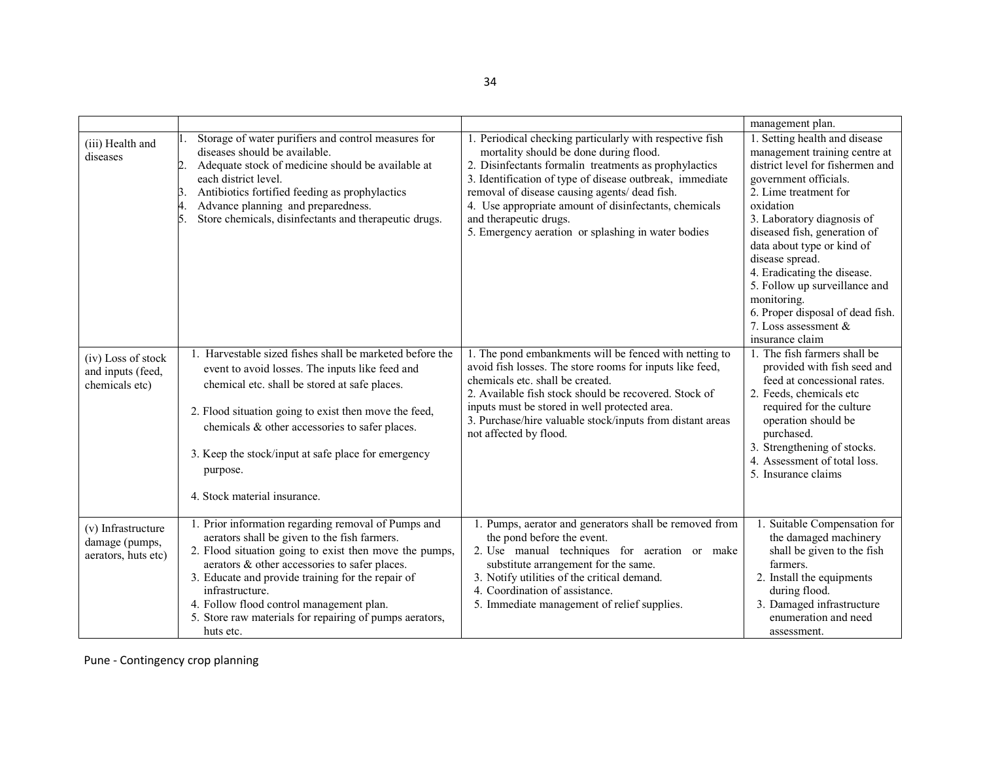|                                                             |                                                                                                                                                                                                                                                                                                                                                                                                            |                                                                                                                                                                                                                                                                                                                                                                                                                   | management plan.                                                                                                                                                                                                                                                                                                                                                                                                                                  |
|-------------------------------------------------------------|------------------------------------------------------------------------------------------------------------------------------------------------------------------------------------------------------------------------------------------------------------------------------------------------------------------------------------------------------------------------------------------------------------|-------------------------------------------------------------------------------------------------------------------------------------------------------------------------------------------------------------------------------------------------------------------------------------------------------------------------------------------------------------------------------------------------------------------|---------------------------------------------------------------------------------------------------------------------------------------------------------------------------------------------------------------------------------------------------------------------------------------------------------------------------------------------------------------------------------------------------------------------------------------------------|
| (iii) Health and<br>diseases                                | Storage of water purifiers and control measures for<br>diseases should be available.<br>Adequate stock of medicine should be available at<br>2<br>each district level.<br>Antibiotics fortified feeding as prophylactics<br>Β.<br>Advance planning and preparedness.<br>4.<br>Store chemicals, disinfectants and therapeutic drugs.<br>5                                                                   | 1. Periodical checking particularly with respective fish<br>mortality should be done during flood.<br>2. Disinfectants formalin treatments as prophylactics<br>3. Identification of type of disease outbreak, immediate<br>removal of disease causing agents/ dead fish.<br>4. Use appropriate amount of disinfectants, chemicals<br>and therapeutic drugs.<br>5. Emergency aeration or splashing in water bodies | 1. Setting health and disease<br>management training centre at<br>district level for fishermen and<br>government officials.<br>2. Lime treatment for<br>oxidation<br>3. Laboratory diagnosis of<br>diseased fish, generation of<br>data about type or kind of<br>disease spread.<br>4. Eradicating the disease.<br>5. Follow up surveillance and<br>monitoring.<br>6. Proper disposal of dead fish.<br>7. Loss assessment $\&$<br>insurance claim |
| (iv) Loss of stock<br>and inputs (feed,<br>chemicals etc)   | 1. Harvestable sized fishes shall be marketed before the<br>event to avoid losses. The inputs like feed and<br>chemical etc. shall be stored at safe places.<br>2. Flood situation going to exist then move the feed,<br>chemicals & other accessories to safer places.<br>3. Keep the stock/input at safe place for emergency<br>purpose.<br>4. Stock material insurance.                                 | 1. The pond embankments will be fenced with netting to<br>avoid fish losses. The store rooms for inputs like feed,<br>chemicals etc. shall be created.<br>2. Available fish stock should be recovered. Stock of<br>inputs must be stored in well protected area.<br>3. Purchase/hire valuable stock/inputs from distant areas<br>not affected by flood.                                                           | 1. The fish farmers shall be<br>provided with fish seed and<br>feed at concessional rates.<br>2. Feeds, chemicals etc<br>required for the culture<br>operation should be<br>purchased.<br>3. Strengthening of stocks.<br>4. Assessment of total loss.<br>5. Insurance claims                                                                                                                                                                      |
| (v) Infrastructure<br>damage (pumps,<br>aerators, huts etc) | 1. Prior information regarding removal of Pumps and<br>aerators shall be given to the fish farmers.<br>2. Flood situation going to exist then move the pumps,<br>aerators & other accessories to safer places.<br>3. Educate and provide training for the repair of<br>infrastructure.<br>4. Follow flood control management plan.<br>5. Store raw materials for repairing of pumps aerators,<br>huts etc. | 1. Pumps, aerator and generators shall be removed from<br>the pond before the event.<br>2. Use manual techniques for aeration or make<br>substitute arrangement for the same.<br>3. Notify utilities of the critical demand.<br>4. Coordination of assistance.<br>5. Immediate management of relief supplies.                                                                                                     | 1. Suitable Compensation for<br>the damaged machinery<br>shall be given to the fish<br>farmers.<br>2. Install the equipments<br>during flood.<br>3. Damaged infrastructure<br>enumeration and need<br>assessment.                                                                                                                                                                                                                                 |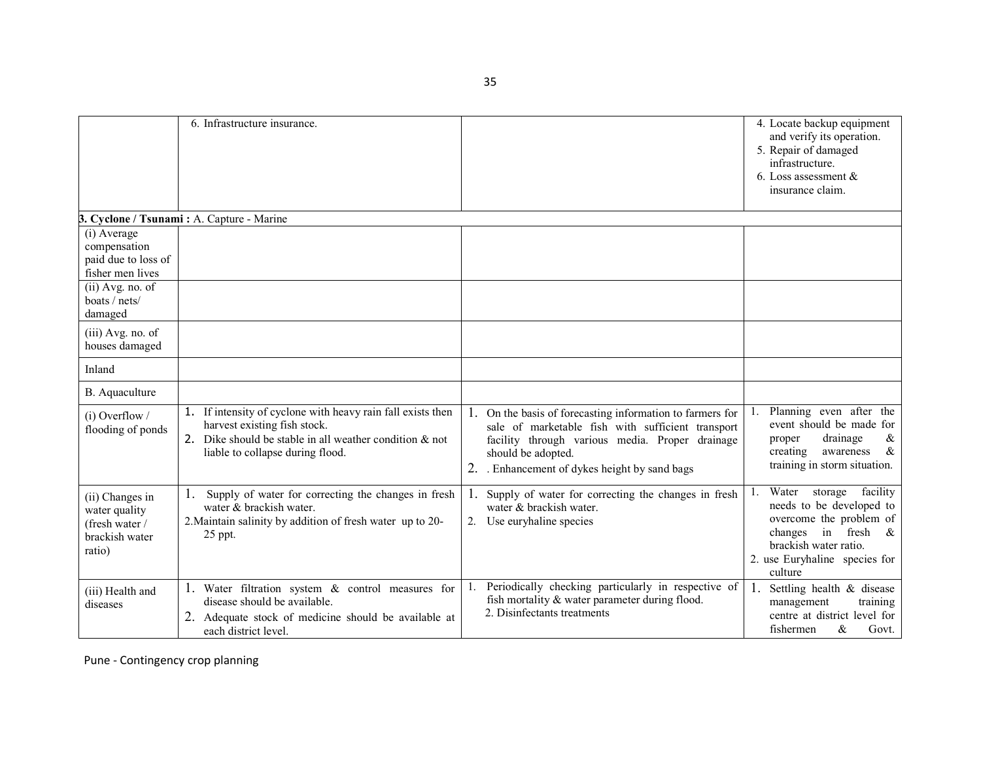|                                                                                | 6. Infrastructure insurance.                                                                                                                                                                  |                                                                                                                                                                                                                                        | 4. Locate backup equipment<br>and verify its operation.<br>5. Repair of damaged<br>infrastructure.<br>6. Loss assessment $\&$<br>insurance claim.                                                 |  |  |
|--------------------------------------------------------------------------------|-----------------------------------------------------------------------------------------------------------------------------------------------------------------------------------------------|----------------------------------------------------------------------------------------------------------------------------------------------------------------------------------------------------------------------------------------|---------------------------------------------------------------------------------------------------------------------------------------------------------------------------------------------------|--|--|
| 3. Cyclone / Tsunami: A. Capture - Marine                                      |                                                                                                                                                                                               |                                                                                                                                                                                                                                        |                                                                                                                                                                                                   |  |  |
| (i) Average<br>compensation<br>paid due to loss of<br>fisher men lives         |                                                                                                                                                                                               |                                                                                                                                                                                                                                        |                                                                                                                                                                                                   |  |  |
| $(ii)$ Avg. no. of<br>boats / nets/<br>damaged                                 |                                                                                                                                                                                               |                                                                                                                                                                                                                                        |                                                                                                                                                                                                   |  |  |
| (iii) Avg. no. of<br>houses damaged                                            |                                                                                                                                                                                               |                                                                                                                                                                                                                                        |                                                                                                                                                                                                   |  |  |
| Inland                                                                         |                                                                                                                                                                                               |                                                                                                                                                                                                                                        |                                                                                                                                                                                                   |  |  |
| B. Aquaculture                                                                 |                                                                                                                                                                                               |                                                                                                                                                                                                                                        |                                                                                                                                                                                                   |  |  |
| $(i)$ Overflow /<br>flooding of ponds                                          | 1. If intensity of cyclone with heavy rain fall exists then<br>harvest existing fish stock.<br>2. Dike should be stable in all weather condition $\&$ not<br>liable to collapse during flood. | 1. On the basis of forecasting information to farmers for<br>sale of marketable fish with sufficient transport<br>facility through various media. Proper drainage<br>should be adopted.<br>2. Enhancement of dykes height by sand bags | Planning even after the<br>event should be made for<br>drainage<br>proper<br>&<br>creating<br>$\&$<br>awareness<br>training in storm situation.                                                   |  |  |
| (ii) Changes in<br>water quality<br>(fresh water /<br>brackish water<br>ratio) | Supply of water for correcting the changes in fresh<br>water & brackish water.<br>2. Maintain salinity by addition of fresh water up to 20-<br>25 ppt.                                        | Supply of water for correcting the changes in fresh<br>1.<br>water & brackish water.<br>2. Use euryhaline species                                                                                                                      | Water<br>storage<br>facility<br>1.<br>needs to be developed to<br>overcome the problem of<br>in fresh<br>changes<br>$\alpha$<br>brackish water ratio.<br>2. use Euryhaline species for<br>culture |  |  |
| (iii) Health and<br>diseases                                                   | 1. Water filtration system & control measures for<br>disease should be available.<br>2. Adequate stock of medicine should be available at<br>each district level.                             | Periodically checking particularly in respective of<br>fish mortality & water parameter during flood.<br>2. Disinfectants treatments                                                                                                   | 1.<br>Settling health & disease<br>training<br>management<br>centre at district level for<br>fishermen<br>$\&$<br>Govt.                                                                           |  |  |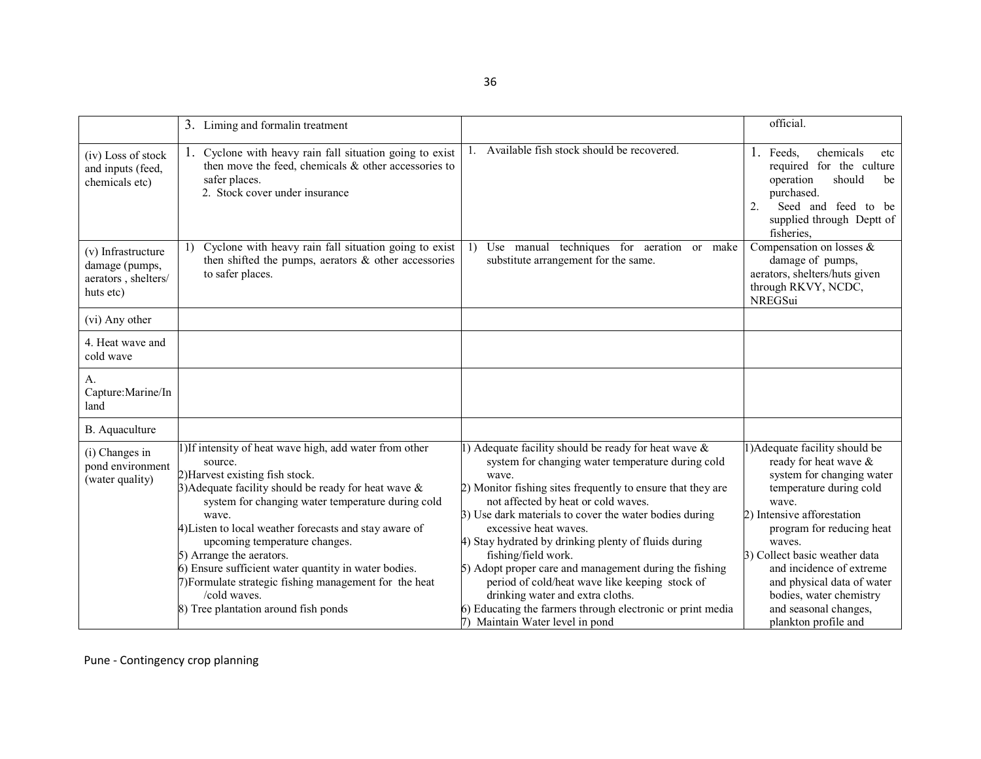|                                                                          | 3. Liming and formalin treatment                                                                                                                                                                                                                                                                                                                                                                                                                                                                                               |                                                                                                                                                                                                                                                                                                                                                                                                                                                                                                                                                                                                                                                | official.                                                                                                                                                                                                                                                                                                                                                           |
|--------------------------------------------------------------------------|--------------------------------------------------------------------------------------------------------------------------------------------------------------------------------------------------------------------------------------------------------------------------------------------------------------------------------------------------------------------------------------------------------------------------------------------------------------------------------------------------------------------------------|------------------------------------------------------------------------------------------------------------------------------------------------------------------------------------------------------------------------------------------------------------------------------------------------------------------------------------------------------------------------------------------------------------------------------------------------------------------------------------------------------------------------------------------------------------------------------------------------------------------------------------------------|---------------------------------------------------------------------------------------------------------------------------------------------------------------------------------------------------------------------------------------------------------------------------------------------------------------------------------------------------------------------|
| (iv) Loss of stock<br>and inputs (feed,<br>chemicals etc)                | 1. Cyclone with heavy rain fall situation going to exist<br>then move the feed, chemicals & other accessories to<br>safer places.<br>2. Stock cover under insurance                                                                                                                                                                                                                                                                                                                                                            | 1. Available fish stock should be recovered.                                                                                                                                                                                                                                                                                                                                                                                                                                                                                                                                                                                                   | chemicals<br>Feeds.<br>1.<br>etc<br>required for the culture<br>should<br>operation<br>be<br>purchased.<br>2.<br>Seed and feed to be<br>supplied through Deptt of<br>fisheries,                                                                                                                                                                                     |
| (v) Infrastructure<br>damage (pumps,<br>aerators, shelters/<br>huts etc) | Cyclone with heavy rain fall situation going to exist<br>1)<br>then shifted the pumps, aerators $\&$ other accessories<br>to safer places.                                                                                                                                                                                                                                                                                                                                                                                     | Use manual techniques for aeration or make<br>1)<br>substitute arrangement for the same.                                                                                                                                                                                                                                                                                                                                                                                                                                                                                                                                                       | Compensation on losses &<br>damage of pumps,<br>aerators, shelters/huts given<br>through RKVY, NCDC,<br>NREGSui                                                                                                                                                                                                                                                     |
| (vi) Any other                                                           |                                                                                                                                                                                                                                                                                                                                                                                                                                                                                                                                |                                                                                                                                                                                                                                                                                                                                                                                                                                                                                                                                                                                                                                                |                                                                                                                                                                                                                                                                                                                                                                     |
| 4. Heat wave and<br>cold wave                                            |                                                                                                                                                                                                                                                                                                                                                                                                                                                                                                                                |                                                                                                                                                                                                                                                                                                                                                                                                                                                                                                                                                                                                                                                |                                                                                                                                                                                                                                                                                                                                                                     |
| A <sub>1</sub><br>Capture: Marine/In<br>land                             |                                                                                                                                                                                                                                                                                                                                                                                                                                                                                                                                |                                                                                                                                                                                                                                                                                                                                                                                                                                                                                                                                                                                                                                                |                                                                                                                                                                                                                                                                                                                                                                     |
| B. Aquaculture                                                           |                                                                                                                                                                                                                                                                                                                                                                                                                                                                                                                                |                                                                                                                                                                                                                                                                                                                                                                                                                                                                                                                                                                                                                                                |                                                                                                                                                                                                                                                                                                                                                                     |
| (i) Changes in<br>pond environment<br>(water quality)                    | 1)If intensity of heat wave high, add water from other<br>source.<br>2) Harvest existing fish stock.<br>3) Adequate facility should be ready for heat wave $\&$<br>system for changing water temperature during cold<br>wave.<br>4) Listen to local weather forecasts and stay aware of<br>upcoming temperature changes.<br>5) Arrange the aerators.<br>6) Ensure sufficient water quantity in water bodies.<br>7) Formulate strategic fishing management for the heat<br>/cold waves.<br>8) Tree plantation around fish ponds | 1) Adequate facility should be ready for heat wave $\&$<br>system for changing water temperature during cold<br>wave.<br>2) Monitor fishing sites frequently to ensure that they are<br>not affected by heat or cold waves.<br>3) Use dark materials to cover the water bodies during<br>excessive heat waves.<br>4) Stay hydrated by drinking plenty of fluids during<br>fishing/field work.<br>5) Adopt proper care and management during the fishing<br>period of cold/heat wave like keeping stock of<br>drinking water and extra cloths.<br>6) Educating the farmers through electronic or print media<br>7) Maintain Water level in pond | ) Adequate facility should be<br>ready for heat wave &<br>system for changing water<br>temperature during cold<br>wave.<br>2) Intensive afforestation<br>program for reducing heat<br>waves.<br>3) Collect basic weather data<br>and incidence of extreme<br>and physical data of water<br>bodies, water chemistry<br>and seasonal changes,<br>plankton profile and |